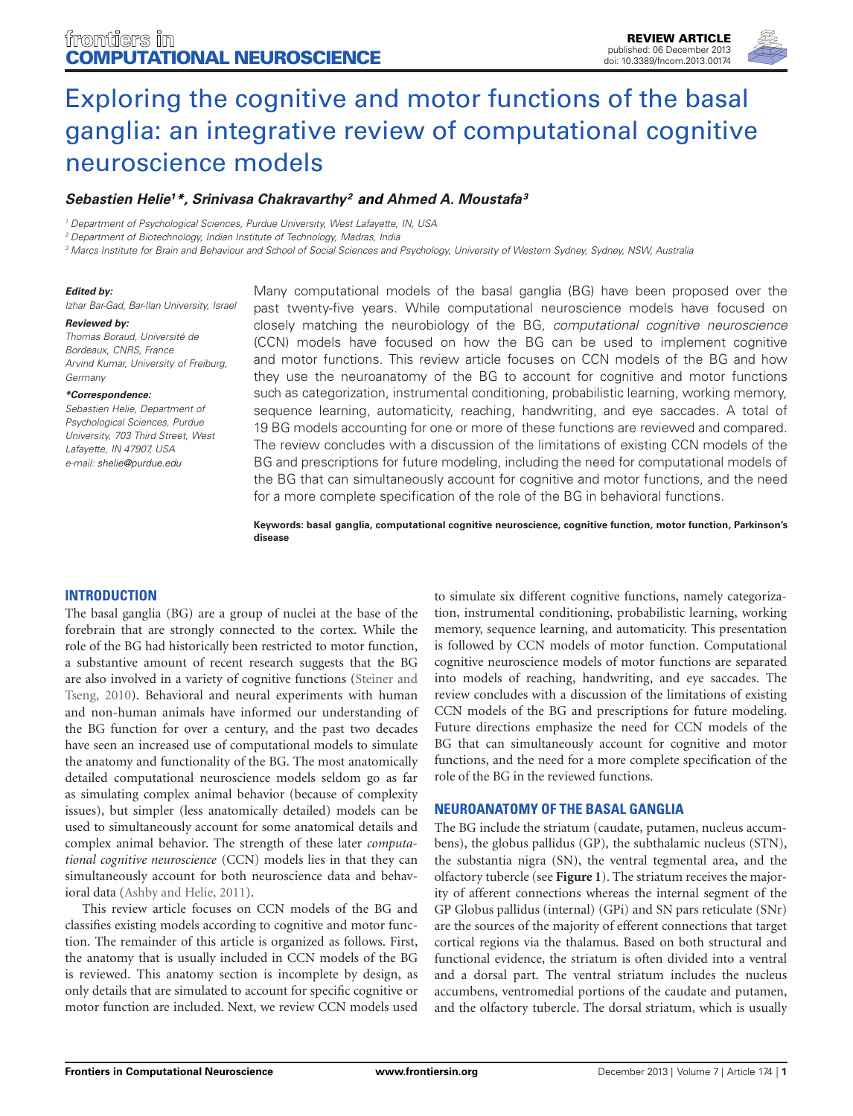

# Exploring the cognitive and motor functions of the basal [ganglia: an integrative review of computational cognitive](http://www.frontiersin.org/Journal/10.3389/fncom.2013.00174/abstract) neuroscience models

## *[Sebastien Helie1](http://www.frontiersin.org/people/u/96755)\*, [Srinivasa Chakravarthy2](http://www.frontiersin.org/people/u/65767) and [Ahmed A. Moustafa](http://www.frontiersin.org/people/AhmedMoustafa/15417)3*

*<sup>1</sup> Department of Psychological Sciences, Purdue University, West Lafayette, IN, USA*

*<sup>2</sup> Department of Biotechnology, Indian Institute of Technology, Madras, India*

*<sup>3</sup> Marcs Institute for Brain and Behaviour and School of Social Sciences and Psychology, University of Western Sydney, Sydney, NSW, Australia*

#### *Edited by:*

*Izhar Bar-Gad, Bar-Ilan University, Israel*

*Reviewed by: Thomas Boraud, Université de Bordeaux, CNRS, France Arvind Kumar, University of Freiburg, Germany*

#### *\*Correspondence:*

*Sebastien Helie, Department of Psychological Sciences, Purdue University, 703 Third Street, West Lafayette, IN 47907, USA e-mail: [shelie@purdue.edu](mailto:shelie@purdue.edu)*

Many computational models of the basal ganglia (BG) have been proposed over the past twenty-five years. While computational neuroscience models have focused on closely matching the neurobiology of the BG, *computational cognitive neuroscience* (CCN) models have focused on how the BG can be used to implement cognitive and motor functions. This review article focuses on CCN models of the BG and how they use the neuroanatomy of the BG to account for cognitive and motor functions such as categorization, instrumental conditioning, probabilistic learning, working memory, sequence learning, automaticity, reaching, handwriting, and eye saccades. A total of 19 BG models accounting for one or more of these functions are reviewed and compared. The review concludes with a discussion of the limitations of existing CCN models of the BG and prescriptions for future modeling, including the need for computational models of the BG that can simultaneously account for cognitive and motor functions, and the need for a more complete specification of the role of the BG in behavioral functions.

**Keywords: basal ganglia, computational cognitive neuroscience, cognitive function, motor function, Parkinson's disease**

#### **INTRODUCTION**

The basal ganglia (BG) are a group of nuclei at the base of the forebrain that are strongly connected to the cortex. While the role of the BG had historically been restricted to motor function, a substantive amount of recent research suggests that the BG are also involved in a variety of cognitive functions [\(Steiner and](#page-14-0) [Tseng,](#page-14-1) [2010\)](#page-14-0). Behavioral and neural experiments with human and non-human animals have informed our understanding of the BG function for over a century, and the past two decades have seen an increased use of computational models to simulate the anatomy and functionality of the BG. The most anatomically detailed computational neuroscience models seldom go as far as simulating complex animal behavior (because of complexity issues), but simpler (less anatomically detailed) models can be used to simultaneously account for some anatomical details and complex animal behavior. The strength of these later *computational cognitive neuroscience* (CCN) models lies in that they can simultaneously account for both neuroscience data and behavioral data [\(Ashby and Helie, 2011\)](#page-12-0).

This review article focuses on CCN models of the BG and classifies existing models according to cognitive and motor function. The remainder of this article is organized as follows. First, the anatomy that is usually included in CCN models of the BG is reviewed. This anatomy section is incomplete by design, as only details that are simulated to account for specific cognitive or motor function are included. Next, we review CCN models used

to simulate six different cognitive functions, namely categorization, instrumental conditioning, probabilistic learning, working memory, sequence learning, and automaticity. This presentation is followed by CCN models of motor function. Computational cognitive neuroscience models of motor functions are separated into models of reaching, handwriting, and eye saccades. The review concludes with a discussion of the limitations of existing CCN models of the BG and prescriptions for future modeling. Future directions emphasize the need for CCN models of the BG that can simultaneously account for cognitive and motor functions, and the need for a more complete specification of the role of the BG in the reviewed functions.

## **NEUROANATOMY OF THE BASAL GANGLIA**

The BG include the striatum (caudate, putamen, nucleus accumbens), the globus pallidus (GP), the subthalamic nucleus (STN), the substantia nigra (SN), the ventral tegmental area, and the olfactory tubercle (see **[Figure 1](#page-1-0)**). The striatum receives the majority of afferent connections whereas the internal segment of the GP Globus pallidus (internal) (GPi) and SN pars reticulate (SNr) are the sources of the majority of efferent connections that target cortical regions via the thalamus. Based on both structural and functional evidence, the striatum is often divided into a ventral and a dorsal part. The ventral striatum includes the nucleus accumbens, ventromedial portions of the caudate and putamen, and the olfactory tubercle. The dorsal striatum, which is usually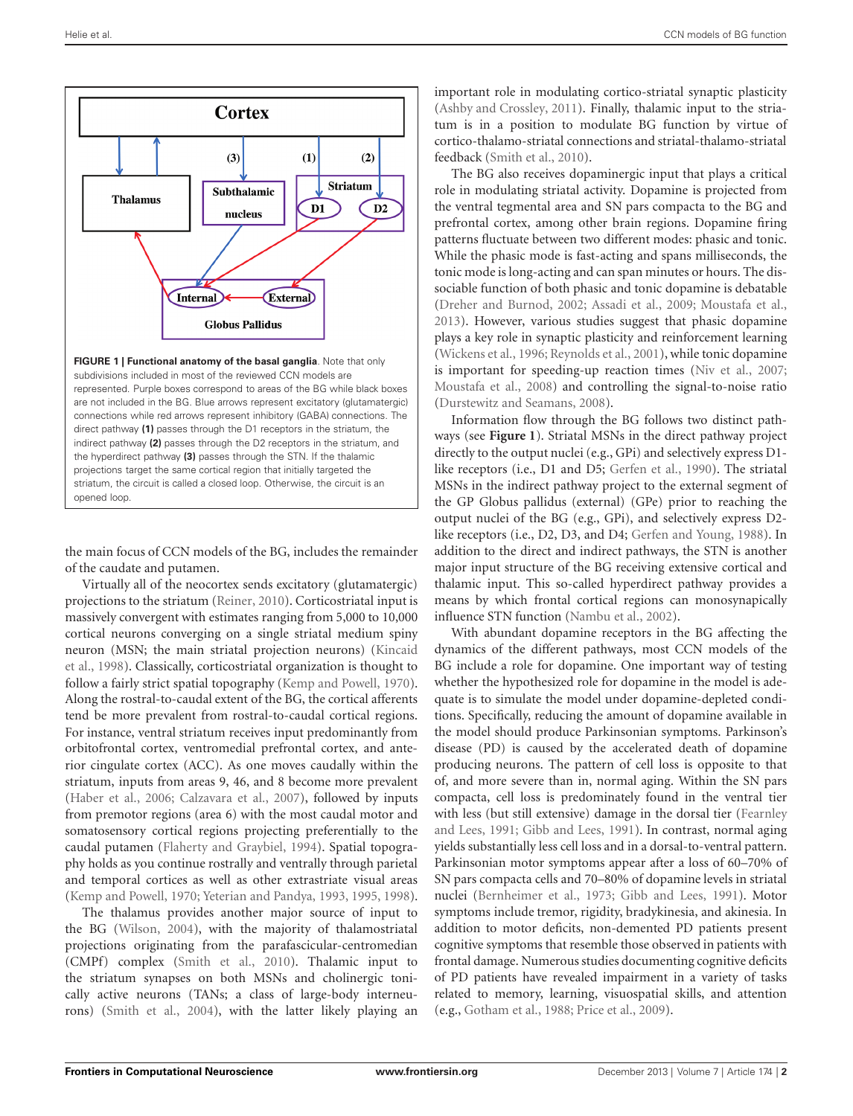

<span id="page-1-0"></span>the main focus of CCN models of the BG, includes the remainder of the caudate and putamen.

Virtually all of the neocortex sends excitatory (glutamatergic) projections to the striatum [\(Reiner](#page-14-2), [2010\)](#page-14-2). Corticostriatal input is massively convergent with estimates ranging from 5,000 to 10,000 cortical neurons converging on a single striatal medium spiny neuron (MSN; the main striatal projection neurons) [\(Kincaid](#page-13-0) et al., [1998](#page-13-0)). Classically, corticostriatal organization is thought to follow a fairly strict spatial topography [\(Kemp and Powell](#page-13-1), [1970](#page-13-1)). Along the rostral-to-caudal extent of the BG, the cortical afferents tend be more prevalent from rostral-to-caudal cortical regions. For instance, ventral striatum receives input predominantly from orbitofrontal cortex, ventromedial prefrontal cortex, and anterior cingulate cortex (ACC). As one moves caudally within the striatum, inputs from areas 9, 46, and 8 become more prevalent [\(Haber et al., 2006;](#page-13-2) [Calzavara et al.](#page-12-1), [2007](#page-12-1)), followed by inputs from premotor regions (area 6) with the most caudal motor and somatosensory cortical regions projecting preferentially to the caudal putamen [\(Flaherty and Graybiel, 1994](#page-12-2)). Spatial topography holds as you continue rostrally and ventrally through parietal and temporal cortices as well as other extrastriate visual areas [\(Kemp and Powell, 1970](#page-13-1); [Yeterian and Pandya](#page-15-0), [1993](#page-15-0), [1995,](#page-15-1) [1998](#page-15-2)).

The thalamus provides another major source of input to the BG [\(Wilson, 2004](#page-15-3)), with the majority of thalamostriatal projections originating from the parafascicular-centromedian (CMPf) complex [\(Smith et al., 2010\)](#page-14-3). Thalamic input to the striatum synapses on both MSNs and cholinergic tonically active neurons (TANs; a class of large-body interneurons) [\(Smith et al.](#page-14-4), [2004](#page-14-4)), with the latter likely playing an

important role in modulating cortico-striatal synaptic plasticity [\(Ashby and Crossley, 2011](#page-12-3)). Finally, thalamic input to the striatum is in a position to modulate BG function by virtue of cortico-thalamo-striatal connections and striatal-thalamo-striatal feedback [\(Smith et al., 2010\)](#page-14-3).

The BG also receives dopaminergic input that plays a critical role in modulating striatal activity. Dopamine is projected from the ventral tegmental area and SN pars compacta to the BG and prefrontal cortex, among other brain regions. Dopamine firing patterns fluctuate between two different modes: phasic and tonic. While the phasic mode is fast-acting and spans milliseconds, the tonic mode is long-acting and can span minutes or hours. The dissociable function of both phasic and tonic dopamine is debatable [\(Dreher and Burnod, 2002;](#page-12-4) [Assadi et al., 2009;](#page-12-5) [Moustafa et al.](#page-13-3), [2013](#page-13-3)). However, various studies suggest that phasic dopamine plays a key role in synaptic plasticity and reinforcement learning [\(Wickens et al., 1996](#page-15-4); [Reynolds et al.](#page-14-5), [2001](#page-14-5)), while tonic dopamine is important for speeding-up reaction times [\(Niv et al., 2007](#page-14-6); [Moustafa et al., 2008\)](#page-13-4) and controlling the signal-to-noise ratio [\(Durstewitz and Seamans, 2008\)](#page-12-6).

Information flow through the BG follows two distinct pathways (see **[Figure 1](#page-1-0)**). Striatal MSNs in the direct pathway project directly to the output nuclei (e.g., GPi) and selectively express D1 like receptors (i.e., D1 and D5; [Gerfen et al.](#page-12-7), [1990\)](#page-12-7). The striatal MSNs in the indirect pathway project to the external segment of the GP Globus pallidus (external) (GPe) prior to reaching the output nuclei of the BG (e.g., GPi), and selectively express D2 like receptors (i.e., D2, D3, and D4; [Gerfen and Young](#page-12-8), [1988](#page-12-8)). In addition to the direct and indirect pathways, the STN is another major input structure of the BG receiving extensive cortical and thalamic input. This so-called hyperdirect pathway provides a means by which frontal cortical regions can monosynapically influence STN function [\(Nambu et al., 2002](#page-14-7)).

With abundant dopamine receptors in the BG affecting the dynamics of the different pathways, most CCN models of the BG include a role for dopamine. One important way of testing whether the hypothesized role for dopamine in the model is adequate is to simulate the model under dopamine-depleted conditions. Specifically, reducing the amount of dopamine available in the model should produce Parkinsonian symptoms. Parkinson's disease (PD) is caused by the accelerated death of dopamine producing neurons. The pattern of cell loss is opposite to that of, and more severe than in, normal aging. Within the SN pars compacta, cell loss is predominately found in the ventral tier with less (but still extensive) damage in the dorsal tier [\(Fearnley](#page-12-9) [and Lees,](#page-12-13) [1991;](#page-12-9) [Gibb and Lees, 1991](#page-12-10)). In contrast, normal aging yields substantially less cell loss and in a dorsal-to-ventral pattern. Parkinsonian motor symptoms appear after a loss of 60–70% of SN pars compacta cells and 70–80% of dopamine levels in striatal nuclei [\(Bernheimer et al.](#page-12-11), [1973](#page-12-11); [Gibb and Lees, 1991\)](#page-12-10). Motor symptoms include tremor, rigidity, bradykinesia, and akinesia. In addition to motor deficits, non-demented PD patients present cognitive symptoms that resemble those observed in patients with frontal damage. Numerous studies documenting cognitive deficits of PD patients have revealed impairment in a variety of tasks related to memory, learning, visuospatial skills, and attention (e.g., [Gotham et al., 1988](#page-12-12); [Price et al., 2009](#page-14-8)).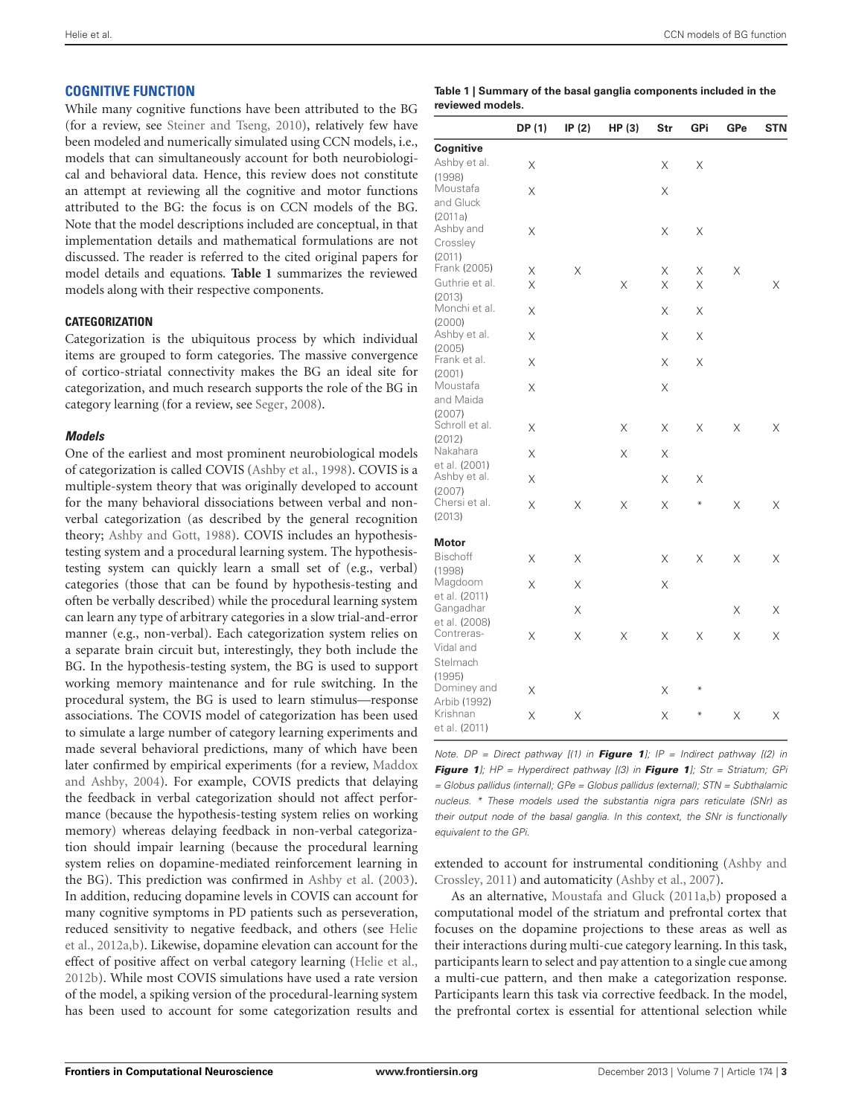# **COGNITIVE FUNCTION**

While many cognitive functions have been attributed to the BG (for a review, see [Steiner and Tseng](#page-14-0), [2010\)](#page-14-0), relatively few have been modeled and numerically simulated using CCN models, i.e., models that can simultaneously account for both neurobiological and behavioral data. Hence, this review does not constitute an attempt at reviewing all the cognitive and motor functions attributed to the BG: the focus is on CCN models of the BG. Note that the model descriptions included are conceptual, in that implementation details and mathematical formulations are not discussed. The reader is referred to the cited original papers for model details and equations. **[Table 1](#page-2-0)** summarizes the reviewed models along with their respective components.

## **CATEGORIZATION**

Categorization is the ubiquitous process by which individual items are grouped to form categories. The massive convergence of cortico-striatal connectivity makes the BG an ideal site for categorization, and much research supports the role of the BG in category learning (for a review, see [Seger, 2008](#page-14-9)).

## *Models*

One of the earliest and most prominent neurobiological models of categorization is called COVIS [\(Ashby et al., 1998](#page-12-14)). COVIS is a multiple-system theory that was originally developed to account for the many behavioral dissociations between verbal and nonverbal categorization (as described by the general recognition theory; [Ashby and Gott, 1988](#page-12-15)). COVIS includes an hypothesistesting system and a procedural learning system. The hypothesistesting system can quickly learn a small set of (e.g., verbal) categories (those that can be found by hypothesis-testing and often be verbally described) while the procedural learning system can learn any type of arbitrary categories in a slow trial-and-error manner (e.g., non-verbal). Each categorization system relies on a separate brain circuit but, interestingly, they both include the BG. In the hypothesis-testing system, the BG is used to support working memory maintenance and for rule switching. In the procedural system, the BG is used to learn stimulus—response associations. The COVIS model of categorization has been used to simulate a large number of category learning experiments and made several behavioral predictions, many of which have been later confirmed by empirical experiments (for a review, [Maddox](#page-13-5) [and Ashby,](#page-13-14) [2004](#page-13-5)). For example, COVIS predicts that delaying the feedback in verbal categorization should not affect performance (because the hypothesis-testing system relies on working memory) whereas delaying feedback in non-verbal categorization should impair learning (because the procedural learning system relies on dopamine-mediated reinforcement learning in the BG). This prediction was confirmed in [Ashby et al.](#page-12-16) [\(2003\)](#page-12-16). In addition, reducing dopamine levels in COVIS can account for many cognitive symptoms in PD patients such as perseveration, reduced sensitivity to negative feedback, and others (see [Helie](#page-13-6) et al., [2012a](#page-13-6)[,b](#page-13-7)). Likewise, dopamine elevation can account for the effect of positive affect on verbal category learning [\(Helie et al.](#page-13-7), [2012b\)](#page-13-7). While most COVIS simulations have used a rate version of the model, a spiking version of the procedural-learning system has been used to account for some categorization results and

#### <span id="page-2-0"></span>**Table 1 | Summary of the basal ganglia components included in the reviewed models.**

|                             | DP (1) | IP $(2)$ | HP (3) | Str | GPi    | GPe      | <b>STN</b> |
|-----------------------------|--------|----------|--------|-----|--------|----------|------------|
| Cognitive                   |        |          |        |     |        |          |            |
| Ashby et al.                | Χ      |          |        | Χ   | Χ      |          |            |
| (1998)                      |        |          |        |     |        |          |            |
| Moustafa                    | X      |          |        | X   |        |          |            |
| and Gluck                   |        |          |        |     |        |          |            |
| (2011a)<br>Ashby and        |        |          |        |     |        |          |            |
| Crossley                    | X      |          |        | X   | Χ      |          |            |
| (2011)                      |        |          |        |     |        |          |            |
| Frank (2005)                | X      | $\times$ |        | X   | X      | $\times$ |            |
| Guthrie et al.              | X      |          | X      | X   | X      |          | X          |
| (2013)                      |        |          |        |     |        |          |            |
| Monchi et al.               | X      |          |        | X   | X      |          |            |
| (2000)                      |        |          |        |     |        |          |            |
| Ashby et al.<br>(2005)      | Χ      |          |        | Χ   | X      |          |            |
| Frank et al.                | Χ      |          |        | X   | Χ      |          |            |
| (2001)                      |        |          |        |     |        |          |            |
| Moustafa                    | X      |          |        | X   |        |          |            |
| and Maida                   |        |          |        |     |        |          |            |
| (2007)                      |        |          |        |     |        |          |            |
| Schroll et al.              | Χ      |          | Χ      | Χ   | Χ      | X        | X          |
| (2012)<br>Nakahara          |        |          |        |     |        |          |            |
| et al. (2001)               | X      |          | X      | Χ   |        |          |            |
| Ashby et al.                | Χ      |          |        | X   | Χ      |          |            |
| (2007)                      |        |          |        |     |        |          |            |
| Chersi et al.               | Χ      | X        | Χ      | X   | $\ast$ | X        | X          |
| (2013)                      |        |          |        |     |        |          |            |
| <b>Motor</b>                |        |          |        |     |        |          |            |
| <b>Bischoff</b>             | Χ      | X        |        | X   | X      | X        | X          |
| (1998)                      |        |          |        |     |        |          |            |
| Magdoom                     | X      | X        |        | Χ   |        |          |            |
| et al. (2011)               |        |          |        |     |        |          |            |
| Gangadhar                   |        | Χ        |        |     |        | Χ        | Χ          |
| et al. (2008)<br>Contreras- |        | X        |        | Χ   | Χ      | Χ        | X          |
| Vidal and                   | Χ      |          | Χ      |     |        |          |            |
| Stelmach                    |        |          |        |     |        |          |            |
| (1995)                      |        |          |        |     |        |          |            |
| Dominey and                 | X      |          |        | X   | ₩      |          |            |
| Arbib (1992)                |        |          |        |     |        |          |            |
| Krishnan                    | Χ      | Χ        |        | Χ   | ₩      | Χ        | Χ          |
| et al. (2011)               |        |          |        |     |        |          |            |

*Note. DP = Direct pathway [(1) in [Figure 1](#page-1-0)]; IP = Indirect pathway [(2) in [Figure 1](#page-1-0)]; HP = Hyperdirect pathway [(3) in [Figure 1](#page-1-0)]; Str = Striatum; GPi = Globus pallidus (internal); GPe = Globus pallidus (external); STN = Subthalamic nucleus. \* These models used the substantia nigra pars reticulate (SNr) as their output node of the basal ganglia. In this context, the SNr is functionally equivalent to the GPi.*

extended to account for instrumental conditioning [\(Ashby and](#page-12-3) [Crossley,](#page-12-13) [2011\)](#page-12-3) and automaticity [\(Ashby et al., 2007\)](#page-12-21).

As an alternative, [Moustafa and Gluck](#page-13-8) [\(2011a](#page-13-8)[,b](#page-13-13)) proposed a computational model of the striatum and prefrontal cortex that focuses on the dopamine projections to these areas as well as their interactions during multi-cue category learning. In this task, participants learn to select and pay attention to a single cue among a multi-cue pattern, and then make a categorization response. Participants learn this task via corrective feedback. In the model, the prefrontal cortex is essential for attentional selection while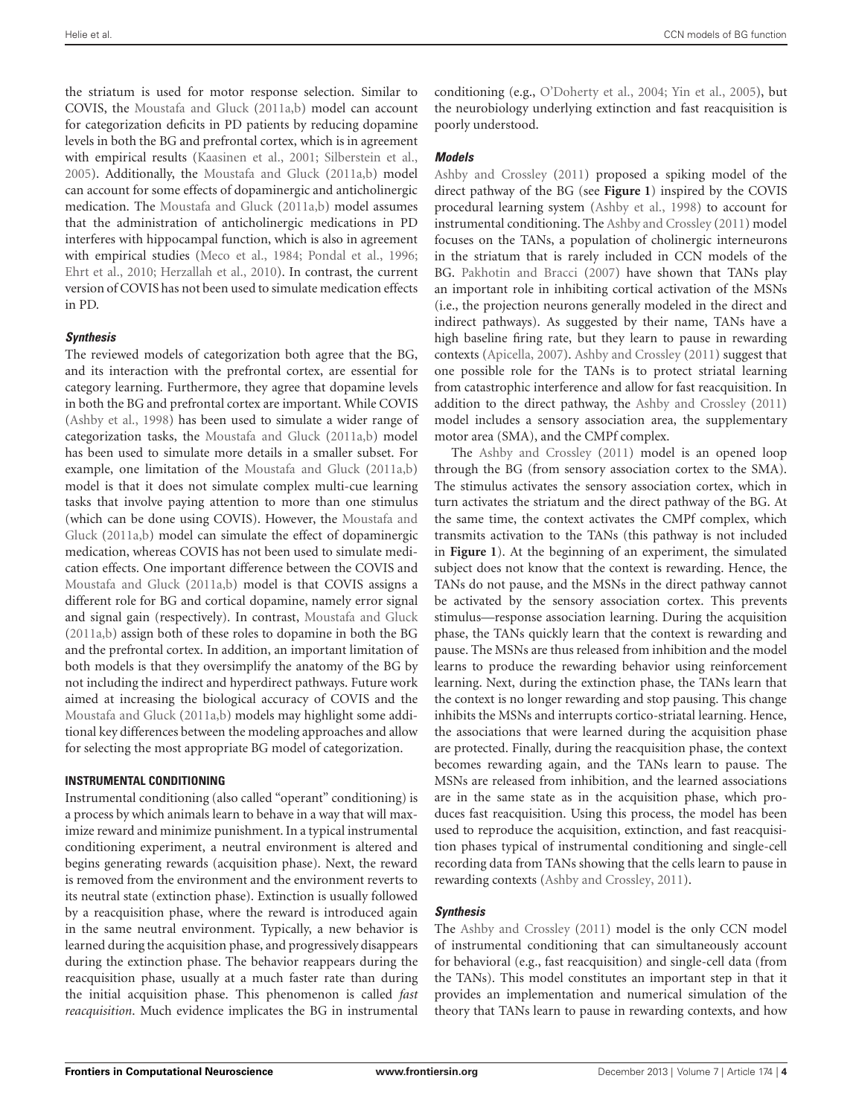the striatum is used for motor response selection. Similar to COVIS, the [Moustafa and Gluck](#page-13-8) [\(2011a](#page-13-8)[,b](#page-13-13)) model can account for categorization deficits in PD patients by reducing dopamine levels in both the BG and prefrontal cortex, which is in agreement with empirical results [\(Kaasinen et al., 2001](#page-13-15); [Silberstein et al.](#page-14-12), [2005\)](#page-14-12). Additionally, the [Moustafa and Gluck](#page-13-8) [\(2011a](#page-13-8)[,b](#page-13-13)) model can account for some effects of dopaminergic and anticholinergic medication. The [Moustafa and Gluck](#page-13-8) [\(2011a](#page-13-8)[,b\)](#page-13-13) model assumes that the administration of anticholinergic medications in PD interferes with hippocampal function, which is also in agreement with empirical studies [\(Meco et al.](#page-13-16), [1984;](#page-13-16) [Pondal et al.](#page-14-13), [1996;](#page-14-13) [Ehrt et al., 2010](#page-12-27); [Herzallah et al., 2010](#page-13-17)). In contrast, the current version of COVIS has not been used to simulate medication effects in PD.

## *Synthesis*

The reviewed models of categorization both agree that the BG, and its interaction with the prefrontal cortex, are essential for category learning. Furthermore, they agree that dopamine levels in both the BG and prefrontal cortex are important. While COVIS [\(Ashby et al.](#page-12-14), [1998\)](#page-12-14) has been used to simulate a wider range of categorization tasks, the [Moustafa and Gluck](#page-13-8) [\(2011a](#page-13-8)[,b](#page-13-13)) model has been used to simulate more details in a smaller subset. For example, one limitation of the [Moustafa and Gluck](#page-13-8) [\(2011a](#page-13-8)[,b](#page-13-13)) model is that it does not simulate complex multi-cue learning tasks that involve paying attention to more than one stimulus (which can be done using COVIS). However, the [Moustafa and](#page-13-8) [Gluck](#page-13-14) [\(2011a](#page-13-8)[,b](#page-13-13)) model can simulate the effect of dopaminergic medication, whereas COVIS has not been used to simulate medication effects. One important difference between the COVIS and [Moustafa and Gluck](#page-13-8) [\(2011a](#page-13-8)[,b](#page-13-13)) model is that COVIS assigns a different role for BG and cortical dopamine, namely error signal and signal gain (respectively). In contrast, [Moustafa and Gluck](#page-13-8) [\(2011a](#page-13-8)[,b](#page-13-13)) assign both of these roles to dopamine in both the BG and the prefrontal cortex. In addition, an important limitation of both models is that they oversimplify the anatomy of the BG by not including the indirect and hyperdirect pathways. Future work aimed at increasing the biological accuracy of COVIS and the [Moustafa and Gluck](#page-13-8) [\(2011a](#page-13-8)[,b](#page-13-13)) models may highlight some additional key differences between the modeling approaches and allow for selecting the most appropriate BG model of categorization.

#### **INSTRUMENTAL CONDITIONING**

Instrumental conditioning (also called "operant" conditioning) is a process by which animals learn to behave in a way that will maximize reward and minimize punishment. In a typical instrumental conditioning experiment, a neutral environment is altered and begins generating rewards (acquisition phase). Next, the reward is removed from the environment and the environment reverts to its neutral state (extinction phase). Extinction is usually followed by a reacquisition phase, where the reward is introduced again in the same neutral environment. Typically, a new behavior is learned during the acquisition phase, and progressively disappears during the extinction phase. The behavior reappears during the reacquisition phase, usually at a much faster rate than during the initial acquisition phase. This phenomenon is called *fast reacquisition*. Much evidence implicates the BG in instrumental

conditioning (e.g., [O'Doherty et al.](#page-14-14), [2004;](#page-14-14) [Yin et al.](#page-15-5), [2005\)](#page-15-5), but the neurobiology underlying extinction and fast reacquisition is poorly understood.

## *Models*

[Ashby and Crossley](#page-12-3) [\(2011\)](#page-12-3) proposed a spiking model of the direct pathway of the BG (see **[Figure 1](#page-1-0)**) inspired by the COVIS procedural learning system [\(Ashby et al.](#page-12-14), [1998](#page-12-14)) to account for instrumental conditioning. The [Ashby and Crossley](#page-12-3) [\(2011](#page-12-3)) model focuses on the TANs, a population of cholinergic interneurons in the striatum that is rarely included in CCN models of the BG. [Pakhotin and Bracci](#page-14-15) [\(2007](#page-14-15)) have shown that TANs play an important role in inhibiting cortical activation of the MSNs (i.e., the projection neurons generally modeled in the direct and indirect pathways). As suggested by their name, TANs have a high baseline firing rate, but they learn to pause in rewarding contexts [\(Apicella](#page-12-28), [2007](#page-12-28)). [Ashby and Crossley](#page-12-3) [\(2011](#page-12-3)) suggest that one possible role for the TANs is to protect striatal learning from catastrophic interference and allow for fast reacquisition. In addition to the direct pathway, the [Ashby and Crossley](#page-12-3) [\(2011\)](#page-12-3) model includes a sensory association area, the supplementary motor area (SMA), and the CMPf complex.

The [Ashby and Crossley](#page-12-3) [\(2011](#page-12-3)) model is an opened loop through the BG (from sensory association cortex to the SMA). The stimulus activates the sensory association cortex, which in turn activates the striatum and the direct pathway of the BG. At the same time, the context activates the CMPf complex, which transmits activation to the TANs (this pathway is not included in **[Figure 1](#page-1-0)**). At the beginning of an experiment, the simulated subject does not know that the context is rewarding. Hence, the TANs do not pause, and the MSNs in the direct pathway cannot be activated by the sensory association cortex. This prevents stimulus—response association learning. During the acquisition phase, the TANs quickly learn that the context is rewarding and pause. The MSNs are thus released from inhibition and the model learns to produce the rewarding behavior using reinforcement learning. Next, during the extinction phase, the TANs learn that the context is no longer rewarding and stop pausing. This change inhibits the MSNs and interrupts cortico-striatal learning. Hence, the associations that were learned during the acquisition phase are protected. Finally, during the reacquisition phase, the context becomes rewarding again, and the TANs learn to pause. The MSNs are released from inhibition, and the learned associations are in the same state as in the acquisition phase, which produces fast reacquisition. Using this process, the model has been used to reproduce the acquisition, extinction, and fast reacquisition phases typical of instrumental conditioning and single-cell recording data from TANs showing that the cells learn to pause in rewarding contexts [\(Ashby and Crossley](#page-12-3), [2011](#page-12-3)).

## *Synthesis*

The [Ashby and Crossley](#page-12-3) [\(2011](#page-12-3)) model is the only CCN model of instrumental conditioning that can simultaneously account for behavioral (e.g., fast reacquisition) and single-cell data (from the TANs). This model constitutes an important step in that it provides an implementation and numerical simulation of the theory that TANs learn to pause in rewarding contexts, and how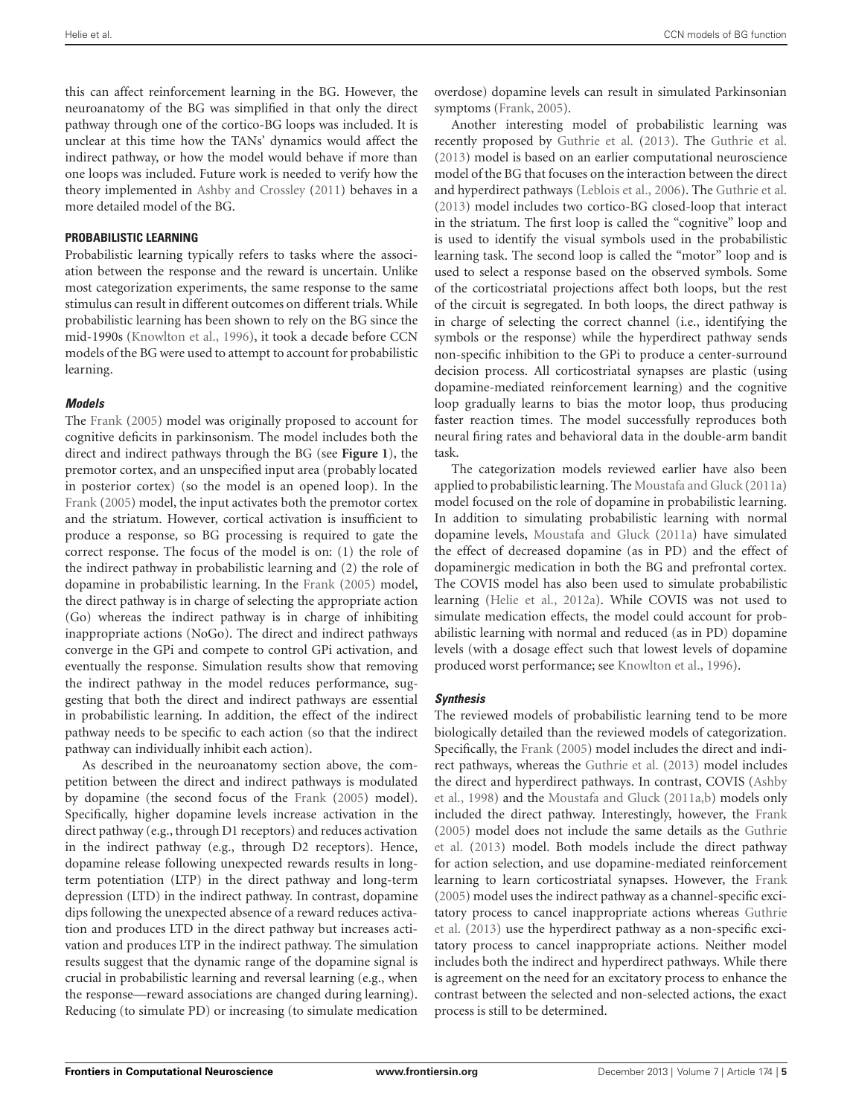this can affect reinforcement learning in the BG. However, the neuroanatomy of the BG was simplified in that only the direct pathway through one of the cortico-BG loops was included. It is unclear at this time how the TANs' dynamics would affect the indirect pathway, or how the model would behave if more than one loops was included. Future work is needed to verify how the theory implemented in [Ashby and Crossley](#page-12-3) [\(2011\)](#page-12-3) behaves in a more detailed model of the BG.

## **PROBABILISTIC LEARNING**

Probabilistic learning typically refers to tasks where the association between the response and the reward is uncertain. Unlike most categorization experiments, the same response to the same stimulus can result in different outcomes on different trials. While probabilistic learning has been shown to rely on the BG since the mid-1990s [\(Knowlton et al., 1996\)](#page-13-18), it took a decade before CCN models of the BG were used to attempt to account for probabilistic learning.

## *Models*

The [Frank](#page-12-17) [\(2005\)](#page-12-17) model was originally proposed to account for cognitive deficits in parkinsonism. The model includes both the direct and indirect pathways through the BG (see **[Figure 1](#page-1-0)**), the premotor cortex, and an unspecified input area (probably located in posterior cortex) (so the model is an opened loop). In the [Frank](#page-12-17) [\(2005](#page-12-17)) model, the input activates both the premotor cortex and the striatum. However, cortical activation is insufficient to produce a response, so BG processing is required to gate the correct response. The focus of the model is on: (1) the role of the indirect pathway in probabilistic learning and (2) the role of dopamine in probabilistic learning. In the [Frank](#page-12-17) [\(2005\)](#page-12-17) model, the direct pathway is in charge of selecting the appropriate action (Go) whereas the indirect pathway is in charge of inhibiting inappropriate actions (NoGo). The direct and indirect pathways converge in the GPi and compete to control GPi activation, and eventually the response. Simulation results show that removing the indirect pathway in the model reduces performance, suggesting that both the direct and indirect pathways are essential in probabilistic learning. In addition, the effect of the indirect pathway needs to be specific to each action (so that the indirect pathway can individually inhibit each action).

As described in the neuroanatomy section above, the competition between the direct and indirect pathways is modulated by dopamine (the second focus of the [Frank](#page-12-17) [\(2005\)](#page-12-17) model). Specifically, higher dopamine levels increase activation in the direct pathway (e.g., through D1 receptors) and reduces activation in the indirect pathway (e.g., through D2 receptors). Hence, dopamine release following unexpected rewards results in longterm potentiation (LTP) in the direct pathway and long-term depression (LTD) in the indirect pathway. In contrast, dopamine dips following the unexpected absence of a reward reduces activation and produces LTD in the direct pathway but increases activation and produces LTP in the indirect pathway. The simulation results suggest that the dynamic range of the dopamine signal is crucial in probabilistic learning and reversal learning (e.g., when the response—reward associations are changed during learning). Reducing (to simulate PD) or increasing (to simulate medication

overdose) dopamine levels can result in simulated Parkinsonian symptoms [\(Frank, 2005](#page-12-17)).

Another interesting model of probabilistic learning was recently proposed by [Guthrie et al.](#page-12-18) [\(2013\)](#page-12-18). The [Guthrie et al.](#page-12-18) [\(2013\)](#page-12-18) model is based on an earlier computational neuroscience model of the BG that focuses on the interaction between the direct and hyperdirect pathways [\(Leblois et al., 2006](#page-13-19)). The [Guthrie et al.](#page-12-18) [\(2013\)](#page-12-18) model includes two cortico-BG closed-loop that interact in the striatum. The first loop is called the "cognitive" loop and is used to identify the visual symbols used in the probabilistic learning task. The second loop is called the "motor" loop and is used to select a response based on the observed symbols. Some of the corticostriatal projections affect both loops, but the rest of the circuit is segregated. In both loops, the direct pathway is in charge of selecting the correct channel (i.e., identifying the symbols or the response) while the hyperdirect pathway sends non-specific inhibition to the GPi to produce a center-surround decision process. All corticostriatal synapses are plastic (using dopamine-mediated reinforcement learning) and the cognitive loop gradually learns to bias the motor loop, thus producing faster reaction times. The model successfully reproduces both neural firing rates and behavioral data in the double-arm bandit task.

The categorization models reviewed earlier have also been applied to probabilistic learning. The [Moustafa and Gluck](#page-13-8) [\(2011a\)](#page-13-8) model focused on the role of dopamine in probabilistic learning. In addition to simulating probabilistic learning with normal dopamine levels, [Moustafa and Gluck](#page-13-8) [\(2011a](#page-13-8)) have simulated the effect of decreased dopamine (as in PD) and the effect of dopaminergic medication in both the BG and prefrontal cortex. The COVIS model has also been used to simulate probabilistic learning [\(Helie et al., 2012a\)](#page-13-6). While COVIS was not used to simulate medication effects, the model could account for probabilistic learning with normal and reduced (as in PD) dopamine levels (with a dosage effect such that lowest levels of dopamine produced worst performance; see [Knowlton et al., 1996\)](#page-13-18).

## *Synthesis*

The reviewed models of probabilistic learning tend to be more biologically detailed than the reviewed models of categorization. Specifically, the [Frank](#page-12-17) [\(2005](#page-12-17)) model includes the direct and indirect pathways, whereas the [Guthrie et al.](#page-12-18) [\(2013\)](#page-12-18) model includes the direct and hyperdirect pathways. In contrast, COVIS [\(Ashby](#page-12-14) et al., [1998\)](#page-12-14) and the [Moustafa and Gluck](#page-13-8) [\(2011a](#page-13-8)[,b\)](#page-13-13) models only included the direct pathway. Interestingly, however, the [Frank](#page-12-17) [\(2005\)](#page-12-17) model does not include the same details as the [Guthrie](#page-12-18) et al. [\(2013\)](#page-12-18) model. Both models include the direct pathway for action selection, and use dopamine-mediated reinforcement learning to learn corticostriatal synapses. However, the [Frank](#page-12-17) [\(2005\)](#page-12-17) model uses the indirect pathway as a channel-specific excitatory process to cancel inappropriate actions whereas [Guthrie](#page-12-18) et al. [\(2013\)](#page-12-18) use the hyperdirect pathway as a non-specific excitatory process to cancel inappropriate actions. Neither model includes both the indirect and hyperdirect pathways. While there is agreement on the need for an excitatory process to enhance the contrast between the selected and non-selected actions, the exact process is still to be determined.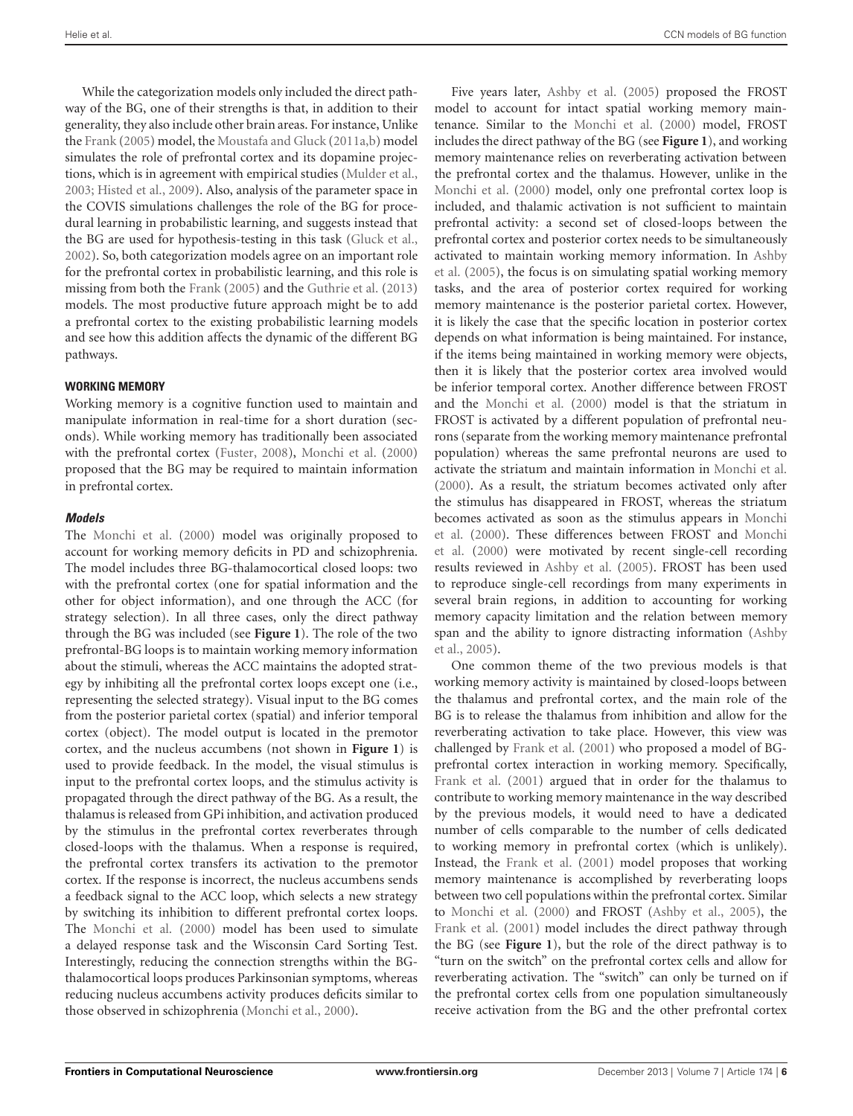While the categorization models only included the direct pathway of the BG, one of their strengths is that, in addition to their generality, they also include other brain areas. For instance, Unlike the [Frank](#page-12-17) [\(2005\)](#page-12-17) model, the [Moustafa and Gluck](#page-13-8) [\(2011a](#page-13-8)[,b](#page-13-13)) model simulates the role of prefrontal cortex and its dopamine projections, which is in agreement with empirical studies [\(Mulder et al.](#page-14-16), [2003;](#page-14-16) [Histed et al.](#page-13-20), [2009\)](#page-13-20). Also, analysis of the parameter space in the COVIS simulations challenges the role of the BG for procedural learning in probabilistic learning, and suggests instead that the BG are used for hypothesis-testing in this task [\(Gluck et al.](#page-12-29), [2002\)](#page-12-29). So, both categorization models agree on an important role for the prefrontal cortex in probabilistic learning, and this role is missing from both the [Frank](#page-12-17) [\(2005](#page-12-17)) and the [Guthrie et al.](#page-12-18) [\(2013](#page-12-18)) models. The most productive future approach might be to add a prefrontal cortex to the existing probabilistic learning models and see how this addition affects the dynamic of the different BG pathways.

#### **WORKING MEMORY**

Working memory is a cognitive function used to maintain and manipulate information in real-time for a short duration (seconds). While working memory has traditionally been associated with the prefrontal cortex [\(Fuster](#page-12-30), [2008](#page-12-30)), [Monchi et al.](#page-13-9) [\(2000](#page-13-9)) proposed that the BG may be required to maintain information in prefrontal cortex.

#### *Models*

The [Monchi et al.](#page-13-9) [\(2000\)](#page-13-9) model was originally proposed to account for working memory deficits in PD and schizophrenia. The model includes three BG-thalamocortical closed loops: two with the prefrontal cortex (one for spatial information and the other for object information), and one through the ACC (for strategy selection). In all three cases, only the direct pathway through the BG was included (see **[Figure 1](#page-1-0)**). The role of the two prefrontal-BG loops is to maintain working memory information about the stimuli, whereas the ACC maintains the adopted strategy by inhibiting all the prefrontal cortex loops except one (i.e., representing the selected strategy). Visual input to the BG comes from the posterior parietal cortex (spatial) and inferior temporal cortex (object). The model output is located in the premotor cortex, and the nucleus accumbens (not shown in **[Figure 1](#page-1-0)**) is used to provide feedback. In the model, the visual stimulus is input to the prefrontal cortex loops, and the stimulus activity is propagated through the direct pathway of the BG. As a result, the thalamus is released from GPi inhibition, and activation produced by the stimulus in the prefrontal cortex reverberates through closed-loops with the thalamus. When a response is required, the prefrontal cortex transfers its activation to the premotor cortex. If the response is incorrect, the nucleus accumbens sends a feedback signal to the ACC loop, which selects a new strategy by switching its inhibition to different prefrontal cortex loops. The [Monchi et al.](#page-13-9) [\(2000\)](#page-13-9) model has been used to simulate a delayed response task and the Wisconsin Card Sorting Test. Interestingly, reducing the connection strengths within the BGthalamocortical loops produces Parkinsonian symptoms, whereas reducing nucleus accumbens activity produces deficits similar to those observed in schizophrenia [\(Monchi et al., 2000](#page-13-9)).

Five years later, [Ashby et al.](#page-12-19) [\(2005\)](#page-12-19) proposed the FROST model to account for intact spatial working memory maintenance. Similar to the [Monchi et al.](#page-13-9) [\(2000](#page-13-9)) model, FROST includes the direct pathway of the BG (see **[Figure 1](#page-1-0)**), and working memory maintenance relies on reverberating activation between the prefrontal cortex and the thalamus. However, unlike in the [Monchi et al.](#page-13-9) [\(2000\)](#page-13-9) model, only one prefrontal cortex loop is included, and thalamic activation is not sufficient to maintain prefrontal activity: a second set of closed-loops between the prefrontal cortex and posterior cortex needs to be simultaneously activated to maintain working memory information. In [Ashby](#page-12-19) et al. [\(2005\)](#page-12-19), the focus is on simulating spatial working memory tasks, and the area of posterior cortex required for working memory maintenance is the posterior parietal cortex. However, it is likely the case that the specific location in posterior cortex depends on what information is being maintained. For instance, if the items being maintained in working memory were objects, then it is likely that the posterior cortex area involved would be inferior temporal cortex. Another difference between FROST and the [Monchi et al.](#page-13-9) [\(2000](#page-13-9)) model is that the striatum in FROST is activated by a different population of prefrontal neurons (separate from the working memory maintenance prefrontal population) whereas the same prefrontal neurons are used to activate the striatum and maintain information in [Monchi et al.](#page-13-9) [\(2000\)](#page-13-9). As a result, the striatum becomes activated only after the stimulus has disappeared in FROST, whereas the striatum becomes activated as soon as the stimulus appears in [Monchi](#page-13-9) et al. [\(2000\)](#page-13-9). These differences between FROST and [Monchi](#page-13-9) et al. [\(2000](#page-13-9)) were motivated by recent single-cell recording results reviewed in [Ashby et al.](#page-12-19) [\(2005\)](#page-12-19). FROST has been used to reproduce single-cell recordings from many experiments in several brain regions, in addition to accounting for working memory capacity limitation and the relation between memory span and the ability to ignore distracting information [\(Ashby](#page-12-19) et al., [2005\)](#page-12-19).

One common theme of the two previous models is that working memory activity is maintained by closed-loops between the thalamus and prefrontal cortex, and the main role of the BG is to release the thalamus from inhibition and allow for the reverberating activation to take place. However, this view was challenged by [Frank et al.](#page-12-20) [\(2001](#page-12-20)) who proposed a model of BGprefrontal cortex interaction in working memory. Specifically, [Frank et al.](#page-12-20) [\(2001\)](#page-12-20) argued that in order for the thalamus to contribute to working memory maintenance in the way described by the previous models, it would need to have a dedicated number of cells comparable to the number of cells dedicated to working memory in prefrontal cortex (which is unlikely). Instead, the [Frank et al.](#page-12-20) [\(2001](#page-12-20)) model proposes that working memory maintenance is accomplished by reverberating loops between two cell populations within the prefrontal cortex. Similar to [Monchi et al.](#page-13-9) [\(2000](#page-13-9)) and FROST [\(Ashby et al.](#page-12-19), [2005\)](#page-12-19), the [Frank et al.](#page-12-20) [\(2001](#page-12-20)) model includes the direct pathway through the BG (see **[Figure 1](#page-1-0)**), but the role of the direct pathway is to "turn on the switch" on the prefrontal cortex cells and allow for reverberating activation. The "switch" can only be turned on if the prefrontal cortex cells from one population simultaneously receive activation from the BG and the other prefrontal cortex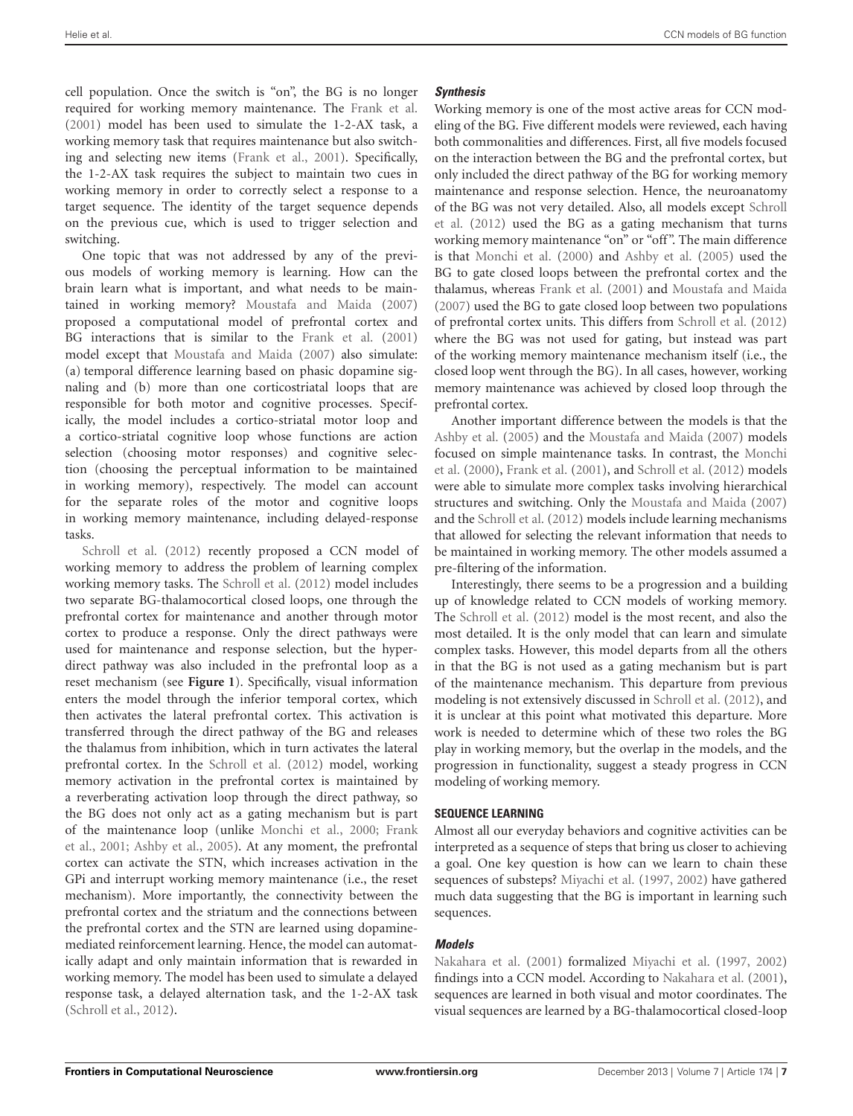cell population. Once the switch is "on", the BG is no longer required for working memory maintenance. The [Frank et al.](#page-12-20) [\(2001](#page-12-20)) model has been used to simulate the 1-2-AX task, a working memory task that requires maintenance but also switching and selecting new items [\(Frank et al., 2001\)](#page-12-20). Specifically, the 1-2-AX task requires the subject to maintain two cues in working memory in order to correctly select a response to a target sequence. The identity of the target sequence depends on the previous cue, which is used to trigger selection and switching.

One topic that was not addressed by any of the previous models of working memory is learning. How can the brain learn what is important, and what needs to be maintained in working memory? [Moustafa and Maida](#page-13-10) [\(2007](#page-13-10)) proposed a computational model of prefrontal cortex and BG interactions that is similar to the [Frank et al.](#page-12-20) [\(2001](#page-12-20)) model except that [Moustafa and Maida](#page-13-10) [\(2007](#page-13-10)) also simulate: (a) temporal difference learning based on phasic dopamine signaling and (b) more than one corticostriatal loops that are responsible for both motor and cognitive processes. Specifically, the model includes a cortico-striatal motor loop and a cortico-striatal cognitive loop whose functions are action selection (choosing motor responses) and cognitive selection (choosing the perceptual information to be maintained in working memory), respectively. The model can account for the separate roles of the motor and cognitive loops in working memory maintenance, including delayed-response tasks.

[Schroll et al.](#page-14-10) [\(2012\)](#page-14-10) recently proposed a CCN model of working memory to address the problem of learning complex working memory tasks. The [Schroll et al.](#page-14-10) [\(2012](#page-14-10)) model includes two separate BG-thalamocortical closed loops, one through the prefrontal cortex for maintenance and another through motor cortex to produce a response. Only the direct pathways were used for maintenance and response selection, but the hyperdirect pathway was also included in the prefrontal loop as a reset mechanism (see **[Figure 1](#page-1-0)**). Specifically, visual information enters the model through the inferior temporal cortex, which then activates the lateral prefrontal cortex. This activation is transferred through the direct pathway of the BG and releases the thalamus from inhibition, which in turn activates the lateral prefrontal cortex. In the [Schroll et al.](#page-14-10) [\(2012](#page-14-10)) model, working memory activation in the prefrontal cortex is maintained by a reverberating activation loop through the direct pathway, so the BG does not only act as a gating mechanism but is part of the maintenance loop (unlike [Monchi et al.](#page-13-9), [2000](#page-13-9); [Frank](#page-12-20) et al., [2001](#page-12-20); [Ashby et al.](#page-12-19), [2005\)](#page-12-19). At any moment, the prefrontal cortex can activate the STN, which increases activation in the GPi and interrupt working memory maintenance (i.e., the reset mechanism). More importantly, the connectivity between the prefrontal cortex and the striatum and the connections between the prefrontal cortex and the STN are learned using dopaminemediated reinforcement learning. Hence, the model can automatically adapt and only maintain information that is rewarded in working memory. The model has been used to simulate a delayed response task, a delayed alternation task, and the 1-2-AX task [\(Schroll et al.](#page-14-10), [2012](#page-14-10)).

## *Synthesis*

Working memory is one of the most active areas for CCN modeling of the BG. Five different models were reviewed, each having both commonalities and differences. First, all five models focused on the interaction between the BG and the prefrontal cortex, but only included the direct pathway of the BG for working memory maintenance and response selection. Hence, the neuroanatomy of the BG was not very detailed. Also, all models except [Schroll](#page-14-10) et al. [\(2012\)](#page-14-10) used the BG as a gating mechanism that turns working memory maintenance "on" or "off ". The main difference is that [Monchi et al.](#page-13-9) [\(2000\)](#page-13-9) and [Ashby et al.](#page-12-19) [\(2005\)](#page-12-19) used the BG to gate closed loops between the prefrontal cortex and the thalamus, whereas [Frank et al.](#page-12-20) [\(2001\)](#page-12-20) and [Moustafa and Maida](#page-13-10) [\(2007\)](#page-13-10) used the BG to gate closed loop between two populations of prefrontal cortex units. This differs from [Schroll et al.](#page-14-10) [\(2012](#page-14-10)) where the BG was not used for gating, but instead was part of the working memory maintenance mechanism itself (i.e., the closed loop went through the BG). In all cases, however, working memory maintenance was achieved by closed loop through the prefrontal cortex.

Another important difference between the models is that the [Ashby et al.](#page-12-19) [\(2005\)](#page-12-19) and the [Moustafa and Maida](#page-13-10) [\(2007\)](#page-13-10) models focused on simple maintenance tasks. In contrast, the [Monchi](#page-13-9) et al. [\(2000](#page-13-9)), [Frank et al.](#page-12-20) [\(2001](#page-12-20)), and [Schroll et al.](#page-14-10) [\(2012](#page-14-10)) models were able to simulate more complex tasks involving hierarchical structures and switching. Only the [Moustafa and Maida](#page-13-10) [\(2007](#page-13-10)) and the [Schroll et al.](#page-14-10) [\(2012\)](#page-14-10) models include learning mechanisms that allowed for selecting the relevant information that needs to be maintained in working memory. The other models assumed a pre-filtering of the information.

Interestingly, there seems to be a progression and a building up of knowledge related to CCN models of working memory. The [Schroll et al.](#page-14-10) [\(2012](#page-14-10)) model is the most recent, and also the most detailed. It is the only model that can learn and simulate complex tasks. However, this model departs from all the others in that the BG is not used as a gating mechanism but is part of the maintenance mechanism. This departure from previous modeling is not extensively discussed in [Schroll et al.](#page-14-10) [\(2012](#page-14-10)), and it is unclear at this point what motivated this departure. More work is needed to determine which of these two roles the BG play in working memory, but the overlap in the models, and the progression in functionality, suggest a steady progress in CCN modeling of working memory.

## **SEQUENCE LEARNING**

Almost all our everyday behaviors and cognitive activities can be interpreted as a sequence of steps that bring us closer to achieving a goal. One key question is how can we learn to chain these sequences of substeps? [Miyachi et al.](#page-13-21) [\(1997,](#page-13-21) [2002\)](#page-13-22) have gathered much data suggesting that the BG is important in learning such sequences.

## *Models*

[Nakahara et al.](#page-14-11) [\(2001](#page-14-11)) formalized [Miyachi et al.](#page-13-21) [\(1997,](#page-13-21) [2002](#page-13-22)) findings into a CCN model. According to [Nakahara et al.](#page-14-11) [\(2001\)](#page-14-11), sequences are learned in both visual and motor coordinates. The visual sequences are learned by a BG-thalamocortical closed-loop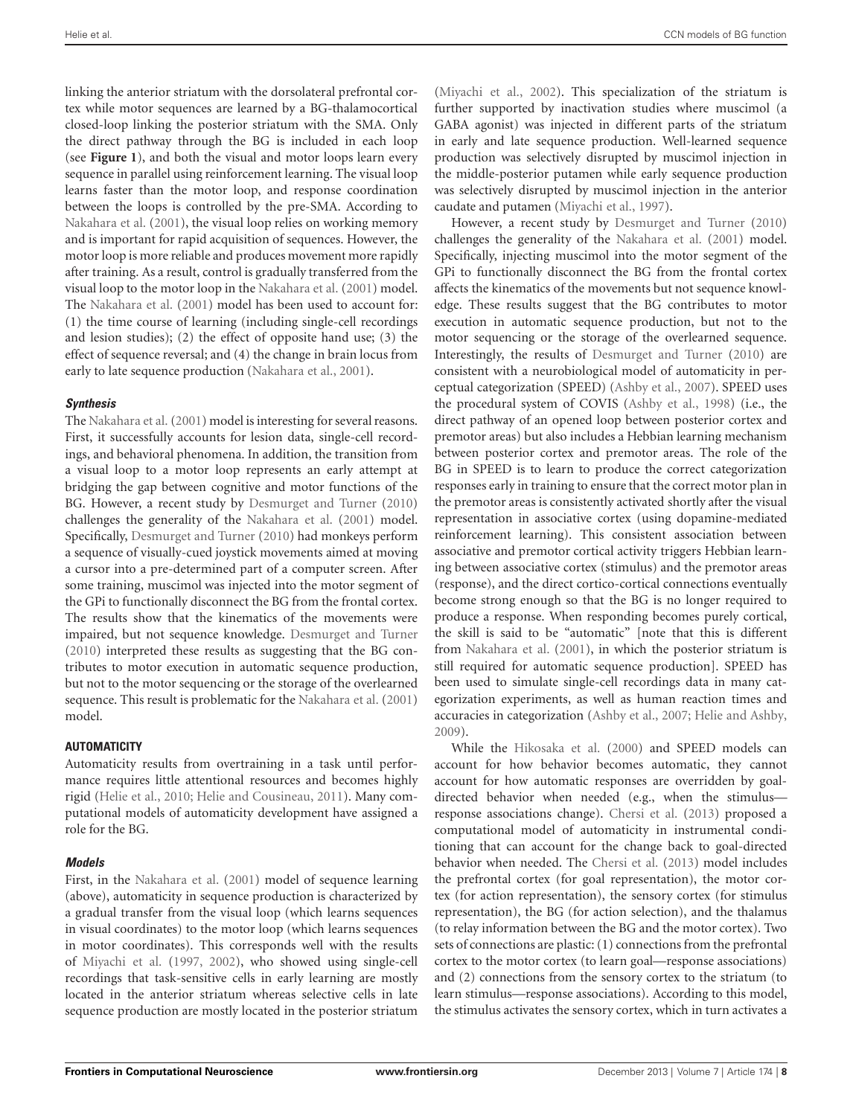linking the anterior striatum with the dorsolateral prefrontal cortex while motor sequences are learned by a BG-thalamocortical closed-loop linking the posterior striatum with the SMA. Only the direct pathway through the BG is included in each loop (see **[Figure 1](#page-1-0)**), and both the visual and motor loops learn every sequence in parallel using reinforcement learning. The visual loop learns faster than the motor loop, and response coordination between the loops is controlled by the pre-SMA. According to [Nakahara et al.](#page-14-11) [\(2001](#page-14-11)), the visual loop relies on working memory and is important for rapid acquisition of sequences. However, the motor loop is more reliable and produces movement more rapidly after training. As a result, control is gradually transferred from the visual loop to the motor loop in the [Nakahara et al.](#page-14-11) [\(2001](#page-14-11)) model. The [Nakahara et al.](#page-14-11) [\(2001](#page-14-11)) model has been used to account for: (1) the time course of learning (including single-cell recordings and lesion studies); (2) the effect of opposite hand use; (3) the effect of sequence reversal; and (4) the change in brain locus from early to late sequence production [\(Nakahara et al., 2001](#page-14-11)).

## *Synthesis*

The [Nakahara et al.](#page-14-11) [\(2001\)](#page-14-11) model is interesting for several reasons. First, it successfully accounts for lesion data, single-cell recordings, and behavioral phenomena. In addition, the transition from a visual loop to a motor loop represents an early attempt at bridging the gap between cognitive and motor functions of the BG. However, a recent study by [Desmurget and Turner](#page-12-31) [\(2010](#page-12-31)) challenges the generality of the [Nakahara et al.](#page-14-11) [\(2001](#page-14-11)) model. Specifically, [Desmurget and Turner](#page-12-31) [\(2010](#page-12-31)) had monkeys perform a sequence of visually-cued joystick movements aimed at moving a cursor into a pre-determined part of a computer screen. After some training, muscimol was injected into the motor segment of the GPi to functionally disconnect the BG from the frontal cortex. The results show that the kinematics of the movements were impaired, but not sequence knowledge. [Desmurget and Turner](#page-12-31) [\(2010](#page-12-31)) interpreted these results as suggesting that the BG contributes to motor execution in automatic sequence production, but not to the motor sequencing or the storage of the overlearned sequence. This result is problematic for the [Nakahara et al.](#page-14-11) [\(2001](#page-14-11)) model.

#### **AUTOMATICITY**

Automaticity results from overtraining in a task until performance requires little attentional resources and becomes highly rigid [\(Helie et al., 2010;](#page-13-23) [Helie and Cousineau, 2011\)](#page-13-24). Many computational models of automaticity development have assigned a role for the BG.

## *Models*

First, in the [Nakahara et al.](#page-14-11) [\(2001\)](#page-14-11) model of sequence learning (above), automaticity in sequence production is characterized by a gradual transfer from the visual loop (which learns sequences in visual coordinates) to the motor loop (which learns sequences in motor coordinates). This corresponds well with the results of [Miyachi et al.](#page-13-21) [\(1997](#page-13-21), [2002](#page-13-22)), who showed using single-cell recordings that task-sensitive cells in early learning are mostly located in the anterior striatum whereas selective cells in late sequence production are mostly located in the posterior striatum

[\(Miyachi et al., 2002](#page-13-22)). This specialization of the striatum is further supported by inactivation studies where muscimol (a GABA agonist) was injected in different parts of the striatum in early and late sequence production. Well-learned sequence production was selectively disrupted by muscimol injection in the middle-posterior putamen while early sequence production was selectively disrupted by muscimol injection in the anterior caudate and putamen [\(Miyachi et al.](#page-13-21), [1997](#page-13-21)).

However, a recent study by [Desmurget and Turner](#page-12-31) [\(2010](#page-12-31)) challenges the generality of the [Nakahara et al.](#page-14-11) [\(2001\)](#page-14-11) model. Specifically, injecting muscimol into the motor segment of the GPi to functionally disconnect the BG from the frontal cortex affects the kinematics of the movements but not sequence knowledge. These results suggest that the BG contributes to motor execution in automatic sequence production, but not to the motor sequencing or the storage of the overlearned sequence. Interestingly, the results of [Desmurget and Turner](#page-12-31) [\(2010](#page-12-31)) are consistent with a neurobiological model of automaticity in perceptual categorization (SPEED) [\(Ashby et al.](#page-12-21), [2007](#page-12-21)). SPEED uses the procedural system of COVIS [\(Ashby et al., 1998\)](#page-12-14) (i.e., the direct pathway of an opened loop between posterior cortex and premotor areas) but also includes a Hebbian learning mechanism between posterior cortex and premotor areas. The role of the BG in SPEED is to learn to produce the correct categorization responses early in training to ensure that the correct motor plan in the premotor areas is consistently activated shortly after the visual representation in associative cortex (using dopamine-mediated reinforcement learning). This consistent association between associative and premotor cortical activity triggers Hebbian learning between associative cortex (stimulus) and the premotor areas (response), and the direct cortico-cortical connections eventually become strong enough so that the BG is no longer required to produce a response. When responding becomes purely cortical, the skill is said to be "automatic" [note that this is different from [Nakahara et al.](#page-14-11) [\(2001\)](#page-14-11), in which the posterior striatum is still required for automatic sequence production]. SPEED has been used to simulate single-cell recordings data in many categorization experiments, as well as human reaction times and accuracies in categorization [\(Ashby et al.](#page-12-21), [2007](#page-12-21); [Helie and Ashby](#page-13-25), [2009](#page-13-25)).

While the [Hikosaka et al.](#page-13-26) [\(2000](#page-13-26)) and SPEED models can account for how behavior becomes automatic, they cannot account for how automatic responses are overridden by goaldirected behavior when needed (e.g., when the stimulus response associations change). [Chersi et al.](#page-12-22) [\(2013\)](#page-12-22) proposed a computational model of automaticity in instrumental conditioning that can account for the change back to goal-directed behavior when needed. The [Chersi et al.](#page-12-22) [\(2013\)](#page-12-22) model includes the prefrontal cortex (for goal representation), the motor cortex (for action representation), the sensory cortex (for stimulus representation), the BG (for action selection), and the thalamus (to relay information between the BG and the motor cortex). Two sets of connections are plastic: (1) connections from the prefrontal cortex to the motor cortex (to learn goal—response associations) and (2) connections from the sensory cortex to the striatum (to learn stimulus—response associations). According to this model, the stimulus activates the sensory cortex, which in turn activates a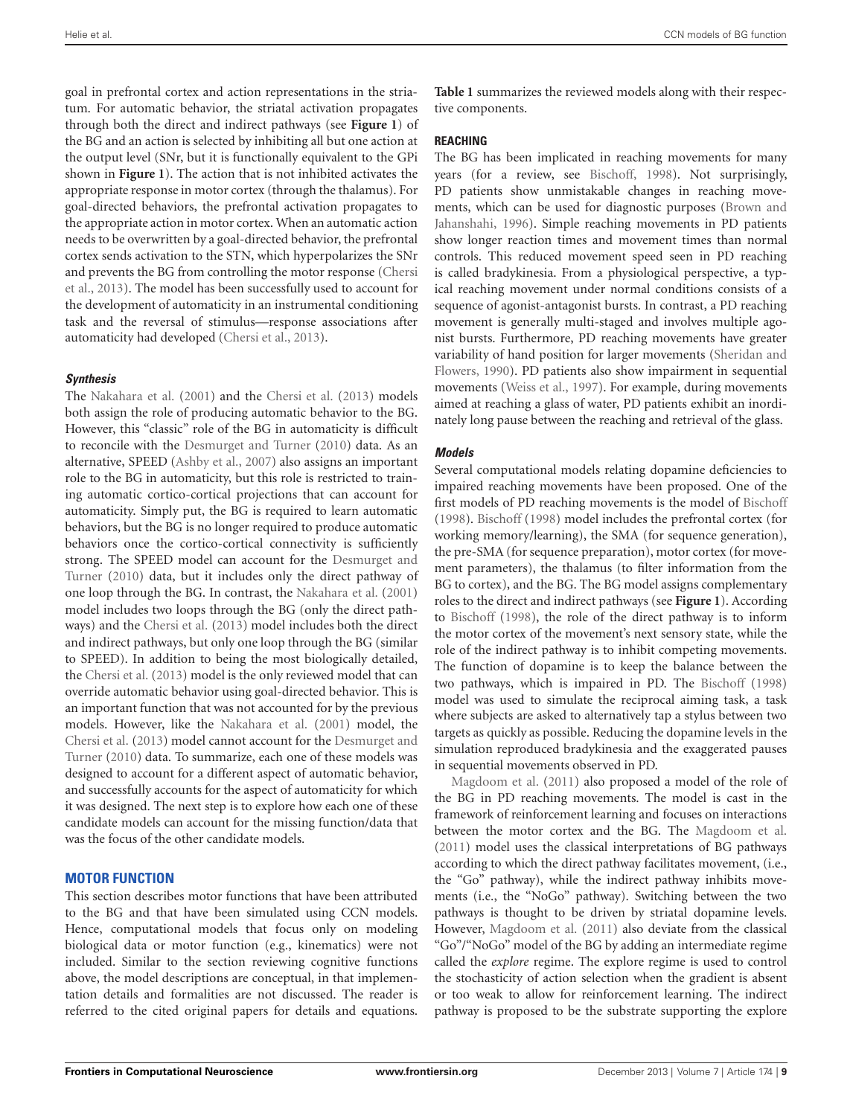goal in prefrontal cortex and action representations in the striatum. For automatic behavior, the striatal activation propagates through both the direct and indirect pathways (see **[Figure 1](#page-1-0)**) of the BG and an action is selected by inhibiting all but one action at the output level (SNr, but it is functionally equivalent to the GPi shown in **[Figure 1](#page-1-0)**). The action that is not inhibited activates the appropriate response in motor cortex (through the thalamus). For goal-directed behaviors, the prefrontal activation propagates to the appropriate action in motor cortex. When an automatic action needs to be overwritten by a goal-directed behavior, the prefrontal cortex sends activation to the STN, which hyperpolarizes the SNr and prevents the BG from controlling the motor response [\(Chersi](#page-12-22) et al., [2013](#page-12-22)). The model has been successfully used to account for the development of automaticity in an instrumental conditioning task and the reversal of stimulus—response associations after automaticity had developed [\(Chersi et al., 2013](#page-12-22)).

## *Synthesis*

The [Nakahara et al.](#page-14-11) [\(2001\)](#page-14-11) and the [Chersi et al.](#page-12-22) [\(2013\)](#page-12-22) models both assign the role of producing automatic behavior to the BG. However, this "classic" role of the BG in automaticity is difficult to reconcile with the [Desmurget and Turner](#page-12-31) [\(2010\)](#page-12-31) data. As an alternative, SPEED [\(Ashby et al., 2007](#page-12-21)) also assigns an important role to the BG in automaticity, but this role is restricted to training automatic cortico-cortical projections that can account for automaticity. Simply put, the BG is required to learn automatic behaviors, but the BG is no longer required to produce automatic behaviors once the cortico-cortical connectivity is sufficiently strong. The SPEED model can account for the [Desmurget and](#page-12-31) [Turner](#page-12-13) [\(2010\)](#page-12-31) data, but it includes only the direct pathway of one loop through the BG. In contrast, the [Nakahara et al.](#page-14-11) [\(2001](#page-14-11)) model includes two loops through the BG (only the direct pathways) and the [Chersi et al.](#page-12-22) [\(2013](#page-12-22)) model includes both the direct and indirect pathways, but only one loop through the BG (similar to SPEED). In addition to being the most biologically detailed, the [Chersi et al.](#page-12-22) [\(2013](#page-12-22)) model is the only reviewed model that can override automatic behavior using goal-directed behavior. This is an important function that was not accounted for by the previous models. However, like the [Nakahara et al.](#page-14-11) [\(2001](#page-14-11)) model, the [Chersi et al.](#page-12-22) [\(2013\)](#page-12-22) model cannot account for the [Desmurget and](#page-12-31) [Turner](#page-12-13) [\(2010\)](#page-12-31) data. To summarize, each one of these models was designed to account for a different aspect of automatic behavior, and successfully accounts for the aspect of automaticity for which it was designed. The next step is to explore how each one of these candidate models can account for the missing function/data that was the focus of the other candidate models.

## **MOTOR FUNCTION**

This section describes motor functions that have been attributed to the BG and that have been simulated using CCN models. Hence, computational models that focus only on modeling biological data or motor function (e.g., kinematics) were not included. Similar to the section reviewing cognitive functions above, the model descriptions are conceptual, in that implementation details and formalities are not discussed. The reader is referred to the cited original papers for details and equations.

**[Table 1](#page-2-0)** summarizes the reviewed models along with their respective components.

## **REACHING**

The BG has been implicated in reaching movements for many years (for a review, see [Bischoff](#page-12-23), [1998](#page-12-23)). Not surprisingly, PD patients show unmistakable changes in reaching movements, which can be used for diagnostic purposes [\(Brown and](#page-12-32) [Jahanshahi,](#page-12-13) [1996](#page-12-32)). Simple reaching movements in PD patients show longer reaction times and movement times than normal controls. This reduced movement speed seen in PD reaching is called bradykinesia. From a physiological perspective, a typical reaching movement under normal conditions consists of a sequence of agonist-antagonist bursts. In contrast, a PD reaching movement is generally multi-staged and involves multiple agonist bursts. Furthermore, PD reaching movements have greater variability of hand position for larger movements [\(Sheridan and](#page-14-17) [Flowers,](#page-14-1) [1990\)](#page-14-17). PD patients also show impairment in sequential movements [\(Weiss et al., 1997\)](#page-15-6). For example, during movements aimed at reaching a glass of water, PD patients exhibit an inordinately long pause between the reaching and retrieval of the glass.

## *Models*

Several computational models relating dopamine deficiencies to impaired reaching movements have been proposed. One of the first models of PD reaching movements is the model of [Bischoff](#page-12-23) [\(1998\)](#page-12-23). [Bischoff](#page-12-23) [\(1998\)](#page-12-23) model includes the prefrontal cortex (for working memory/learning), the SMA (for sequence generation), the pre-SMA (for sequence preparation), motor cortex (for movement parameters), the thalamus (to filter information from the BG to cortex), and the BG. The BG model assigns complementary roles to the direct and indirect pathways (see **[Figure 1](#page-1-0)**). According to [Bischoff](#page-12-23) [\(1998\)](#page-12-23), the role of the direct pathway is to inform the motor cortex of the movement's next sensory state, while the role of the indirect pathway is to inhibit competing movements. The function of dopamine is to keep the balance between the two pathways, which is impaired in PD. The [Bischoff](#page-12-23) [\(1998](#page-12-23)) model was used to simulate the reciprocal aiming task, a task where subjects are asked to alternatively tap a stylus between two targets as quickly as possible. Reducing the dopamine levels in the simulation reproduced bradykinesia and the exaggerated pauses in sequential movements observed in PD.

[Magdoom et al.](#page-13-11) [\(2011](#page-13-11)) also proposed a model of the role of the BG in PD reaching movements. The model is cast in the framework of reinforcement learning and focuses on interactions between the motor cortex and the BG. The [Magdoom et al.](#page-13-11) [\(2011\)](#page-13-11) model uses the classical interpretations of BG pathways according to which the direct pathway facilitates movement, (i.e., the "Go" pathway), while the indirect pathway inhibits movements (i.e., the "NoGo" pathway). Switching between the two pathways is thought to be driven by striatal dopamine levels. However, [Magdoom et al.](#page-13-11) [\(2011\)](#page-13-11) also deviate from the classical "Go"/"NoGo" model of the BG by adding an intermediate regime called the *explore* regime. The explore regime is used to control the stochasticity of action selection when the gradient is absent or too weak to allow for reinforcement learning. The indirect pathway is proposed to be the substrate supporting the explore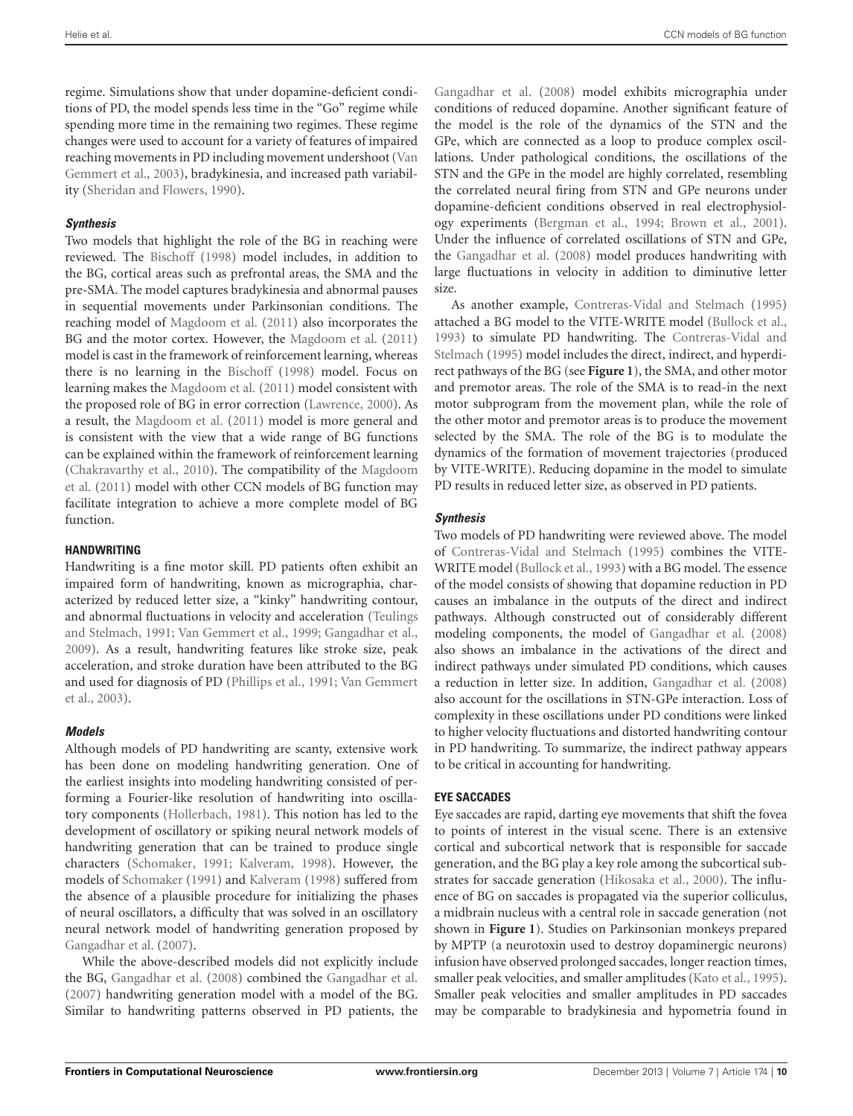regime. Simulations show that under dopamine-deficient conditions of PD, the model spends less time in the "Go" regime while spending more time in the remaining two regimes. These regime changes were used to account for a variety of features of impaired reaching movements in PD including movement undershoot [\(Van](#page-14-18) [Gemmert et al.,](#page-14-1) [2003](#page-14-18)), bradykinesia, and increased path variability [\(Sheridan and Flowers, 1990](#page-14-17)).

## *Synthesis*

Two models that highlight the role of the BG in reaching were reviewed. The [Bischoff](#page-12-23) [\(1998\)](#page-12-23) model includes, in addition to the BG, cortical areas such as prefrontal areas, the SMA and the pre-SMA. The model captures bradykinesia and abnormal pauses in sequential movements under Parkinsonian conditions. The reaching model of [Magdoom et al.](#page-13-11) [\(2011\)](#page-13-11) also incorporates the BG and the motor cortex. However, the [Magdoom et al.](#page-13-11) [\(2011](#page-13-11)) model is cast in the framework of reinforcement learning, whereas there is no learning in the [Bischoff](#page-12-23) [\(1998](#page-12-23)) model. Focus on learning makes the [Magdoom et al.](#page-13-11) [\(2011](#page-13-11)) model consistent with the proposed role of BG in error correction [\(Lawrence](#page-13-27), [2000](#page-13-27)). As a result, the [Magdoom et al.](#page-13-11) [\(2011\)](#page-13-11) model is more general and is consistent with the view that a wide range of BG functions can be explained within the framework of reinforcement learning [\(Chakravarthy et al.](#page-12-33), [2010](#page-12-33)). The compatibility of the [Magdoom](#page-13-11) et al. [\(2011](#page-13-11)) model with other CCN models of BG function may facilitate integration to achieve a more complete model of BG function.

## **HANDWRITING**

Handwriting is a fine motor skill. PD patients often exhibit an impaired form of handwriting, known as micrographia, characterized by reduced letter size, a "kinky" handwriting contour, and abnormal fluctuations in velocity and acceleration [\(Teulings](#page-14-19) [and Stelmach,](#page-14-1) [1991;](#page-14-19) [Van Gemmert et al., 1999;](#page-14-20) [Gangadhar et al.](#page-12-34), [2009\)](#page-12-34). As a result, handwriting features like stroke size, peak acceleration, and stroke duration have been attributed to the BG and used for diagnosis of PD [\(Phillips et al.](#page-14-21), [1991](#page-14-21); [Van Gemmert](#page-14-18) et al., [2003\)](#page-14-18).

# *Models*

Although models of PD handwriting are scanty, extensive work has been done on modeling handwriting generation. One of the earliest insights into modeling handwriting consisted of performing a Fourier-like resolution of handwriting into oscillatory components [\(Hollerbach](#page-13-28), [1981\)](#page-13-28). This notion has led to the development of oscillatory or spiking neural network models of handwriting generation that can be trained to produce single characters [\(Schomaker](#page-14-22), [1991;](#page-14-22) [Kalveram](#page-13-29), [1998\)](#page-13-29). However, the models of [Schomaker](#page-14-22) [\(1991\)](#page-14-22) and [Kalveram](#page-13-29) [\(1998](#page-13-29)) suffered from the absence of a plausible procedure for initializing the phases of neural oscillators, a difficulty that was solved in an oscillatory neural network model of handwriting generation proposed by [Gangadhar et al.](#page-12-35) [\(2007](#page-12-35)).

While the above-described models did not explicitly include the BG, [Gangadhar et al.](#page-12-24) [\(2008\)](#page-12-24) combined the [Gangadhar et al.](#page-12-35) [\(2007](#page-12-35)) handwriting generation model with a model of the BG. Similar to handwriting patterns observed in PD patients, the

[Gangadhar et al.](#page-12-24) [\(2008](#page-12-24)) model exhibits micrographia under conditions of reduced dopamine. Another significant feature of the model is the role of the dynamics of the STN and the GPe, which are connected as a loop to produce complex oscillations. Under pathological conditions, the oscillations of the STN and the GPe in the model are highly correlated, resembling the correlated neural firing from STN and GPe neurons under dopamine-deficient conditions observed in real electrophysiology experiments [\(Bergman et al.](#page-12-36), [1994](#page-12-36); [Brown et al., 2001\)](#page-12-37). Under the influence of correlated oscillations of STN and GPe, the [Gangadhar et al.](#page-12-24) [\(2008](#page-12-24)) model produces handwriting with large fluctuations in velocity in addition to diminutive letter size.

As another example, [Contreras-Vidal and Stelmach](#page-12-25) [\(1995](#page-12-25)) attached a BG model to the VITE-WRITE model [\(Bullock et al.](#page-12-38), [1993](#page-12-38)) to simulate PD handwriting. The [Contreras-Vidal and](#page-12-25) [Stelmach](#page-12-13) [\(1995\)](#page-12-25) model includes the direct, indirect, and hyperdirect pathways of the BG (see **[Figure 1](#page-1-0)**), the SMA, and other motor and premotor areas. The role of the SMA is to read-in the next motor subprogram from the movement plan, while the role of the other motor and premotor areas is to produce the movement selected by the SMA. The role of the BG is to modulate the dynamics of the formation of movement trajectories (produced by VITE-WRITE). Reducing dopamine in the model to simulate PD results in reduced letter size, as observed in PD patients.

# *Synthesis*

Two models of PD handwriting were reviewed above. The model of [Contreras-Vidal and Stelmach](#page-12-25) [\(1995](#page-12-25)) combines the VITE-WRITE model [\(Bullock et al.](#page-12-38), [1993\)](#page-12-38) with a BG model. The essence of the model consists of showing that dopamine reduction in PD causes an imbalance in the outputs of the direct and indirect pathways. Although constructed out of considerably different modeling components, the model of [Gangadhar et al.](#page-12-24) [\(2008](#page-12-24)) also shows an imbalance in the activations of the direct and indirect pathways under simulated PD conditions, which causes a reduction in letter size. In addition, [Gangadhar et al.](#page-12-24) [\(2008](#page-12-24)) also account for the oscillations in STN-GPe interaction. Loss of complexity in these oscillations under PD conditions were linked to higher velocity fluctuations and distorted handwriting contour in PD handwriting. To summarize, the indirect pathway appears to be critical in accounting for handwriting.

## **EYE SACCADES**

Eye saccades are rapid, darting eye movements that shift the fovea to points of interest in the visual scene. There is an extensive cortical and subcortical network that is responsible for saccade generation, and the BG play a key role among the subcortical substrates for saccade generation [\(Hikosaka et al., 2000\)](#page-13-26). The influence of BG on saccades is propagated via the superior colliculus, a midbrain nucleus with a central role in saccade generation (not shown in **[Figure 1](#page-1-0)**). Studies on Parkinsonian monkeys prepared by MPTP (a neurotoxin used to destroy dopaminergic neurons) infusion have observed prolonged saccades, longer reaction times, smaller peak velocities, and smaller amplitudes [\(Kato et al.](#page-13-30), [1995\)](#page-13-30). Smaller peak velocities and smaller amplitudes in PD saccades may be comparable to bradykinesia and hypometria found in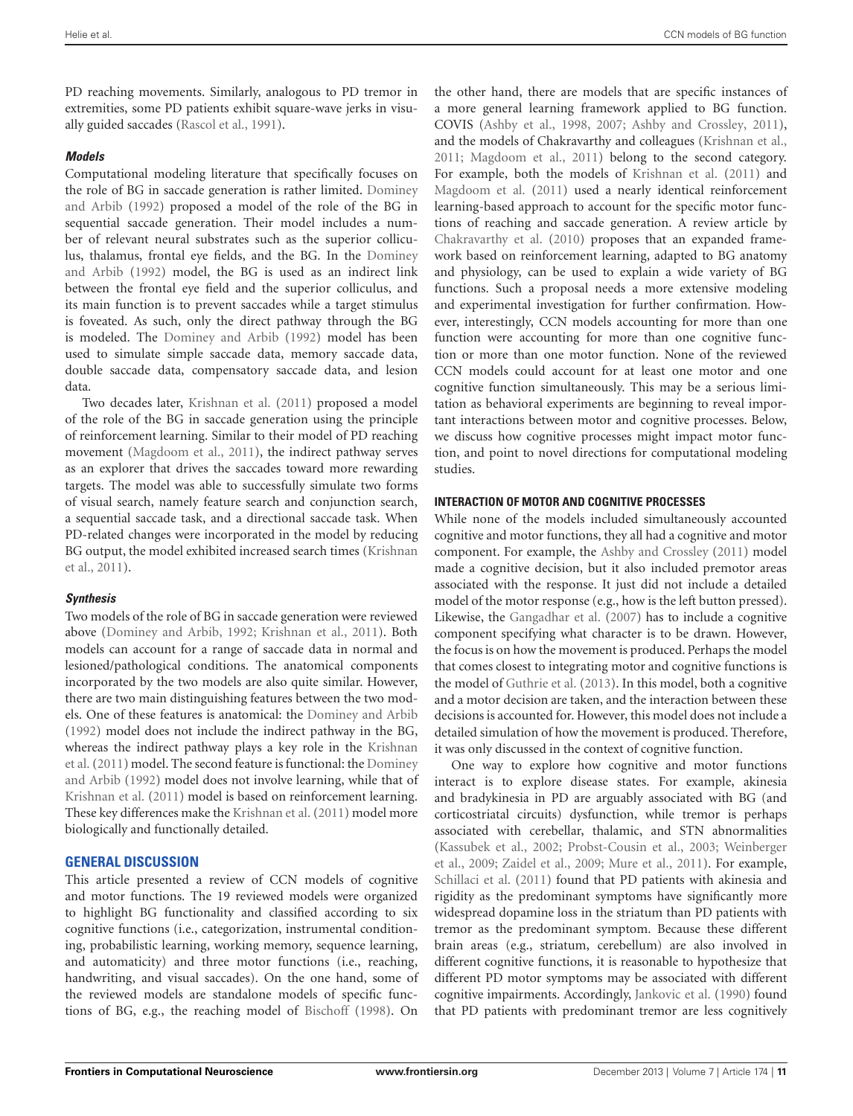PD reaching movements. Similarly, analogous to PD tremor in extremities, some PD patients exhibit square-wave jerks in visually guided saccades [\(Rascol et al., 1991](#page-14-23)).

## *Models*

Computational modeling literature that specifically focuses on the role of BG in saccade generation is rather limited. [Dominey](#page-12-26) [and Arbib](#page-12-13) [\(1992](#page-12-26)) proposed a model of the role of the BG in sequential saccade generation. Their model includes a number of relevant neural substrates such as the superior colliculus, thalamus, frontal eye fields, and the BG. In the [Dominey](#page-12-26) [and Arbib](#page-12-13) [\(1992](#page-12-26)) model, the BG is used as an indirect link between the frontal eye field and the superior colliculus, and its main function is to prevent saccades while a target stimulus is foveated. As such, only the direct pathway through the BG is modeled. The [Dominey and Arbib](#page-12-26) [\(1992\)](#page-12-26) model has been used to simulate simple saccade data, memory saccade data, double saccade data, compensatory saccade data, and lesion data.

Two decades later, [Krishnan et al.](#page-13-12) [\(2011](#page-13-12)) proposed a model of the role of the BG in saccade generation using the principle of reinforcement learning. Similar to their model of PD reaching movement [\(Magdoom et al.](#page-13-11), [2011\)](#page-13-11), the indirect pathway serves as an explorer that drives the saccades toward more rewarding targets. The model was able to successfully simulate two forms of visual search, namely feature search and conjunction search, a sequential saccade task, and a directional saccade task. When PD-related changes were incorporated in the model by reducing BG output, the model exhibited increased search times [\(Krishnan](#page-13-12) et al., [2011\)](#page-13-12).

#### *Synthesis*

Two models of the role of BG in saccade generation were reviewed above [\(Dominey and Arbib, 1992;](#page-12-26) [Krishnan et al.](#page-13-12), [2011](#page-13-12)). Both models can account for a range of saccade data in normal and lesioned/pathological conditions. The anatomical components incorporated by the two models are also quite similar. However, there are two main distinguishing features between the two models. One of these features is anatomical: the [Dominey and Arbib](#page-12-26) [\(1992](#page-12-26)) model does not include the indirect pathway in the BG, whereas the indirect pathway plays a key role in the [Krishnan](#page-13-12) et al. [\(2011](#page-13-12)) model. The second feature is functional: the [Dominey](#page-12-26) and Arbib [\(1992\)](#page-12-26) model does not involve learning, while that of [Krishnan et al.](#page-13-12) [\(2011](#page-13-12)) model is based on reinforcement learning. These key differences make the [Krishnan et al.](#page-13-12) [\(2011](#page-13-12)) model more biologically and functionally detailed.

# **GENERAL DISCUSSION**

This article presented a review of CCN models of cognitive and motor functions. The 19 reviewed models were organized to highlight BG functionality and classified according to six cognitive functions (i.e., categorization, instrumental conditioning, probabilistic learning, working memory, sequence learning, and automaticity) and three motor functions (i.e., reaching, handwriting, and visual saccades). On the one hand, some of the reviewed models are standalone models of specific functions of BG, e.g., the reaching model of [Bischoff](#page-12-23) [\(1998](#page-12-23)). On

the other hand, there are models that are specific instances of a more general learning framework applied to BG function. COVIS [\(Ashby et al.](#page-12-14), [1998](#page-12-14), [2007;](#page-12-21) [Ashby and Crossley](#page-12-3), [2011\)](#page-12-3), and the models of Chakravarthy and colleagues [\(Krishnan et al.](#page-13-12), [2011](#page-13-12); [Magdoom et al., 2011\)](#page-13-11) belong to the second category. For example, both the models of [Krishnan et al.](#page-13-12) [\(2011](#page-13-12)) and [Magdoom et al.](#page-13-11) [\(2011](#page-13-11)) used a nearly identical reinforcement learning-based approach to account for the specific motor functions of reaching and saccade generation. A review article by [Chakravarthy et al.](#page-12-33) [\(2010\)](#page-12-33) proposes that an expanded framework based on reinforcement learning, adapted to BG anatomy and physiology, can be used to explain a wide variety of BG functions. Such a proposal needs a more extensive modeling and experimental investigation for further confirmation. However, interestingly, CCN models accounting for more than one function were accounting for more than one cognitive function or more than one motor function. None of the reviewed CCN models could account for at least one motor and one cognitive function simultaneously. This may be a serious limitation as behavioral experiments are beginning to reveal important interactions between motor and cognitive processes. Below, we discuss how cognitive processes might impact motor function, and point to novel directions for computational modeling studies.

## **INTERACTION OF MOTOR AND COGNITIVE PROCESSES**

While none of the models included simultaneously accounted cognitive and motor functions, they all had a cognitive and motor component. For example, the [Ashby and Crossley](#page-12-3) [\(2011](#page-12-3)) model made a cognitive decision, but it also included premotor areas associated with the response. It just did not include a detailed model of the motor response (e.g., how is the left button pressed). Likewise, the [Gangadhar et al.](#page-12-35) [\(2007](#page-12-35)) has to include a cognitive component specifying what character is to be drawn. However, the focus is on how the movement is produced. Perhaps the model that comes closest to integrating motor and cognitive functions is the model of [Guthrie et al.](#page-12-18) [\(2013](#page-12-18)). In this model, both a cognitive and a motor decision are taken, and the interaction between these decisions is accounted for. However, this model does not include a detailed simulation of how the movement is produced. Therefore, it was only discussed in the context of cognitive function.

One way to explore how cognitive and motor functions interact is to explore disease states. For example, akinesia and bradykinesia in PD are arguably associated with BG (and corticostriatal circuits) dysfunction, while tremor is perhaps associated with cerebellar, thalamic, and STN abnormalities [\(Kassubek et al., 2002](#page-13-31); [Probst-Cousin et al.](#page-14-24), [2003;](#page-14-24) [Weinberger](#page-14-25) et al., [2009](#page-14-25); [Zaidel et al.](#page-15-7), [2009;](#page-15-7) [Mure et al.](#page-14-26), [2011\)](#page-14-26). For example, [Schillaci et al.](#page-14-27) [\(2011\)](#page-14-27) found that PD patients with akinesia and rigidity as the predominant symptoms have significantly more widespread dopamine loss in the striatum than PD patients with tremor as the predominant symptom. Because these different brain areas (e.g., striatum, cerebellum) are also involved in different cognitive functions, it is reasonable to hypothesize that different PD motor symptoms may be associated with different cognitive impairments. Accordingly, [Jankovic et al.](#page-13-32) [\(1990\)](#page-13-32) found that PD patients with predominant tremor are less cognitively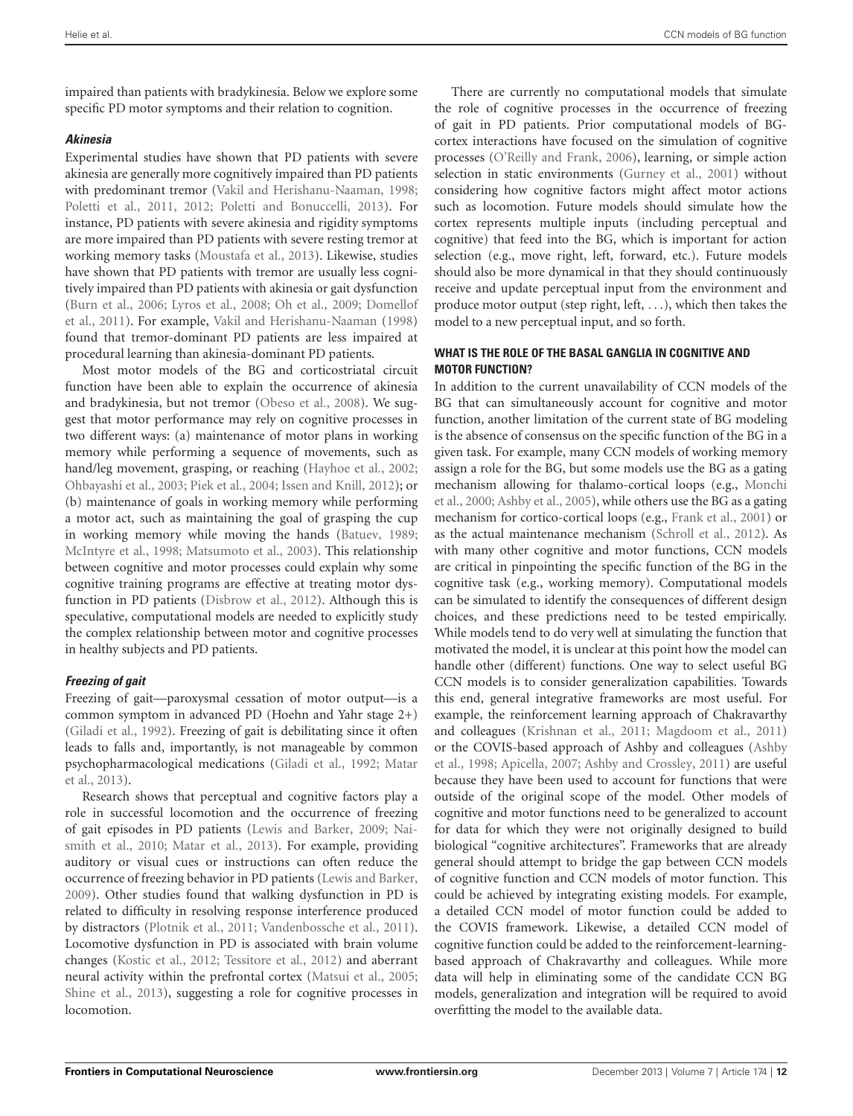impaired than patients with bradykinesia. Below we explore some specific PD motor symptoms and their relation to cognition.

## *Akinesia*

Experimental studies have shown that PD patients with severe akinesia are generally more cognitively impaired than PD patients with predominant tremor [\(Vakil and Herishanu-Naaman, 1998;](#page-14-28) [Poletti et al., 2011](#page-14-29), [2012;](#page-14-30) [Poletti and Bonuccelli](#page-14-31), [2013\)](#page-14-31). For instance, PD patients with severe akinesia and rigidity symptoms are more impaired than PD patients with severe resting tremor at working memory tasks [\(Moustafa et al.](#page-13-33), [2013](#page-13-33)). Likewise, studies have shown that PD patients with tremor are usually less cognitively impaired than PD patients with akinesia or gait dysfunction [\(Burn et al.](#page-12-39), [2006](#page-12-39); [Lyros et al., 2008](#page-13-34); [Oh et al.](#page-14-32), [2009](#page-14-32); [Domellof](#page-12-40) et al., [2011](#page-12-40)). For example, [Vakil and Herishanu-Naaman](#page-14-28) [\(1998](#page-14-28)) found that tremor-dominant PD patients are less impaired at procedural learning than akinesia-dominant PD patients.

Most motor models of the BG and corticostriatal circuit function have been able to explain the occurrence of akinesia and bradykinesia, but not tremor [\(Obeso et al., 2008\)](#page-14-33). We suggest that motor performance may rely on cognitive processes in two different ways: (a) maintenance of motor plans in working memory while performing a sequence of movements, such as hand/leg movement, grasping, or reaching [\(Hayhoe et al.](#page-13-35), [2002;](#page-13-35) [Ohbayashi et al., 2003](#page-14-34); [Piek et al.](#page-14-35), [2004](#page-14-35); [Issen and Knill, 2012\)](#page-13-36); or (b) maintenance of goals in working memory while performing a motor act, such as maintaining the goal of grasping the cup in working memory while moving the hands [\(Batuev](#page-12-41), [1989;](#page-12-41) [McIntyre et al., 1998;](#page-13-37) [Matsumoto et al.](#page-13-38), [2003\)](#page-13-38). This relationship between cognitive and motor processes could explain why some cognitive training programs are effective at treating motor dysfunction in PD patients [\(Disbrow et al., 2012](#page-12-42)). Although this is speculative, computational models are needed to explicitly study the complex relationship between motor and cognitive processes in healthy subjects and PD patients.

# *Freezing of gait*

Freezing of gait—paroxysmal cessation of motor output—is a common symptom in advanced PD (Hoehn and Yahr stage 2+) [\(Giladi et al.](#page-12-43), [1992\)](#page-12-43). Freezing of gait is debilitating since it often leads to falls and, importantly, is not manageable by common psychopharmacological medications [\(Giladi et al.](#page-12-43), [1992;](#page-12-43) [Matar](#page-13-39) et al., [2013\)](#page-13-39).

Research shows that perceptual and cognitive factors play a role in successful locomotion and the occurrence of freezing of gait episodes in PD patients [\(Lewis and Barker](#page-13-40), [2009;](#page-13-40) [Nai](#page-14-36)[smith et al.,](#page-14-1) [2010](#page-14-36); [Matar et al., 2013\)](#page-13-39). For example, providing auditory or visual cues or instructions can often reduce the occurrence of freezing behavior in PD patients [\(Lewis and Barker](#page-13-40), [2009\)](#page-13-40). Other studies found that walking dysfunction in PD is related to difficulty in resolving response interference produced by distractors [\(Plotnik et al., 2011](#page-14-37); [Vandenbossche et al.](#page-14-38), [2011](#page-14-38)). Locomotive dysfunction in PD is associated with brain volume changes [\(Kostic et al.](#page-13-41), [2012](#page-13-41); [Tessitore et al., 2012](#page-14-39)) and aberrant neural activity within the prefrontal cortex [\(Matsui et al., 2005;](#page-13-42) [Shine et al., 2013\)](#page-14-40), suggesting a role for cognitive processes in locomotion.

There are currently no computational models that simulate the role of cognitive processes in the occurrence of freezing of gait in PD patients. Prior computational models of BGcortex interactions have focused on the simulation of cognitive processes [\(O'Reilly and Frank, 2006](#page-14-41)), learning, or simple action selection in static environments [\(Gurney et al., 2001](#page-12-44)) without considering how cognitive factors might affect motor actions such as locomotion. Future models should simulate how the cortex represents multiple inputs (including perceptual and cognitive) that feed into the BG, which is important for action selection (e.g., move right, left, forward, etc.). Future models should also be more dynamical in that they should continuously receive and update perceptual input from the environment and produce motor output (step right, left, *...*), which then takes the model to a new perceptual input, and so forth.

## **WHAT IS THE ROLE OF THE BASAL GANGLIA IN COGNITIVE AND MOTOR FUNCTION?**

In addition to the current unavailability of CCN models of the BG that can simultaneously account for cognitive and motor function, another limitation of the current state of BG modeling is the absence of consensus on the specific function of the BG in a given task. For example, many CCN models of working memory assign a role for the BG, but some models use the BG as a gating mechanism allowing for thalamo-cortical loops (e.g., [Monchi](#page-13-9) et al., [2000](#page-13-9); [Ashby et al.](#page-12-19), [2005\)](#page-12-19), while others use the BG as a gating mechanism for cortico-cortical loops (e.g., [Frank et al., 2001](#page-12-20)) or as the actual maintenance mechanism [\(Schroll et al.](#page-14-10), [2012](#page-14-10)). As with many other cognitive and motor functions, CCN models are critical in pinpointing the specific function of the BG in the cognitive task (e.g., working memory). Computational models can be simulated to identify the consequences of different design choices, and these predictions need to be tested empirically. While models tend to do very well at simulating the function that motivated the model, it is unclear at this point how the model can handle other (different) functions. One way to select useful BG CCN models is to consider generalization capabilities. Towards this end, general integrative frameworks are most useful. For example, the reinforcement learning approach of Chakravarthy and colleagues [\(Krishnan et al., 2011;](#page-13-12) [Magdoom et al.](#page-13-11), [2011](#page-13-11)) or the COVIS-based approach of Ashby and colleagues [\(Ashby](#page-12-14) et al., [1998;](#page-12-14) [Apicella](#page-12-28), [2007](#page-12-28); [Ashby and Crossley](#page-12-3), [2011](#page-12-3)) are useful because they have been used to account for functions that were outside of the original scope of the model. Other models of cognitive and motor functions need to be generalized to account for data for which they were not originally designed to build biological "cognitive architectures". Frameworks that are already general should attempt to bridge the gap between CCN models of cognitive function and CCN models of motor function. This could be achieved by integrating existing models. For example, a detailed CCN model of motor function could be added to the COVIS framework. Likewise, a detailed CCN model of cognitive function could be added to the reinforcement-learningbased approach of Chakravarthy and colleagues. While more data will help in eliminating some of the candidate CCN BG models, generalization and integration will be required to avoid overfitting the model to the available data.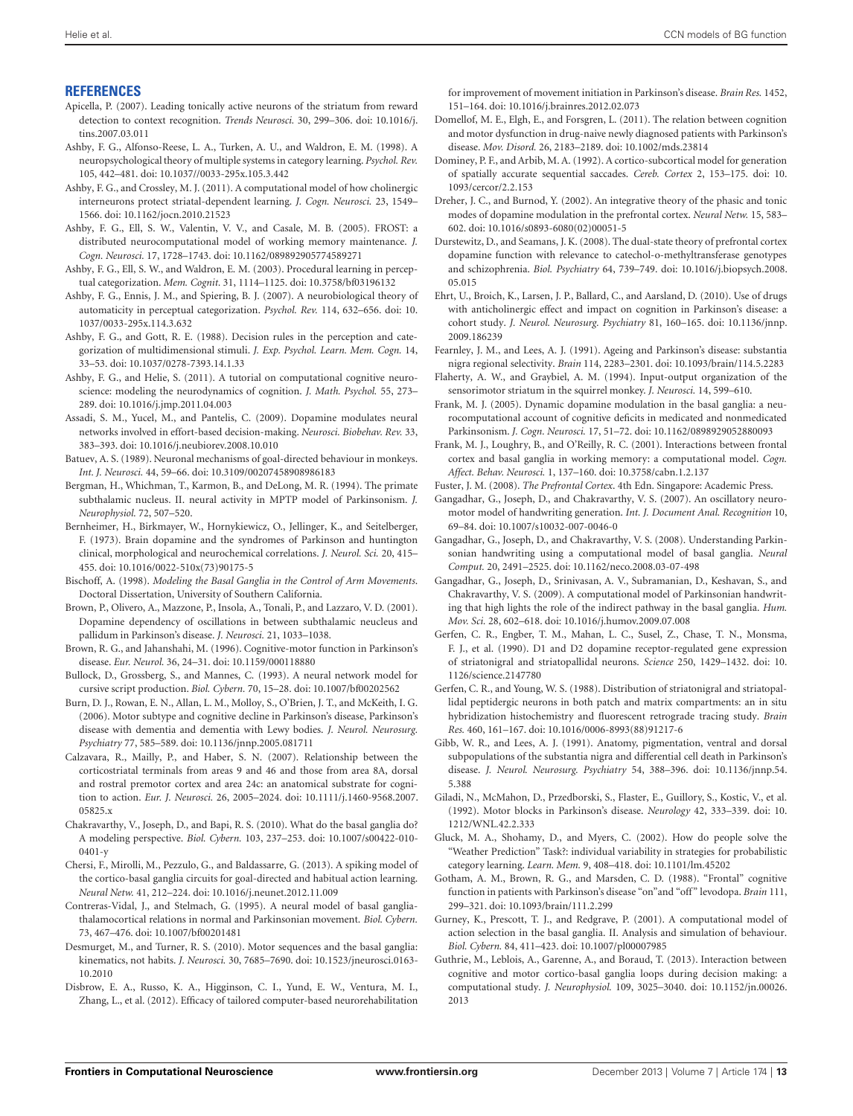#### <span id="page-12-13"></span>**REFERENCES**

- <span id="page-12-28"></span>Apicella, P. (2007). Leading tonically active neurons of the striatum from reward detection to context recognition. *Trends Neurosci.* 30, 299–306. doi: 10.1016/j. tins.2007.03.011
- <span id="page-12-14"></span>Ashby, F. G., Alfonso-Reese, L. A., Turken, A. U., and Waldron, E. M. (1998). A neuropsychological theory of multiple systems in category learning. *Psychol. Rev.* 105, 442–481. doi: 10.1037//0033-295x.105.3.442
- <span id="page-12-3"></span>Ashby, F. G., and Crossley, M. J. (2011). A computational model of how cholinergic interneurons protect striatal-dependent learning. *J. Cogn. Neurosci.* 23, 1549– 1566. doi: 10.1162/jocn.2010.21523
- <span id="page-12-19"></span>Ashby, F. G., Ell, S. W., Valentin, V. V., and Casale, M. B. (2005). FROST: a distributed neurocomputational model of working memory maintenance. *J. Cogn. Neurosci.* 17, 1728–1743. doi: 10.1162/089892905774589271
- <span id="page-12-16"></span>Ashby, F. G., Ell, S. W., and Waldron, E. M. (2003). Procedural learning in perceptual categorization. *Mem. Cognit.* 31, 1114–1125. doi: 10.3758/bf03196132
- <span id="page-12-21"></span>Ashby, F. G., Ennis, J. M., and Spiering, B. J. (2007). A neurobiological theory of automaticity in perceptual categorization. *Psychol. Rev.* 114, 632–656. doi: 10. 1037/0033-295x.114.3.632
- <span id="page-12-15"></span>Ashby, F. G., and Gott, R. E. (1988). Decision rules in the perception and categorization of multidimensional stimuli. *J. Exp. Psychol. Learn. Mem. Cogn.* 14, 33–53. doi: 10.1037/0278-7393.14.1.33
- <span id="page-12-0"></span>Ashby, F. G., and Helie, S. (2011). A tutorial on computational cognitive neuroscience: modeling the neurodynamics of cognition. *J. Math. Psychol.* 55, 273– 289. doi: 10.1016/j.jmp.2011.04.003
- <span id="page-12-5"></span>Assadi, S. M., Yucel, M., and Pantelis, C. (2009). Dopamine modulates neural networks involved in effort-based decision-making. *Neurosci. Biobehav. Rev.* 33, 383–393. doi: 10.1016/j.neubiorev.2008.10.010
- <span id="page-12-41"></span>Batuev, A. S. (1989). Neuronal mechanisms of goal-directed behaviour in monkeys. *Int. J. Neurosci.* 44, 59–66. doi: 10.3109/00207458908986183
- <span id="page-12-36"></span>Bergman, H., Whichman, T., Karmon, B., and DeLong, M. R. (1994). The primate subthalamic nucleus. II. neural activity in MPTP model of Parkinsonism. *J. Neurophysiol.* 72, 507–520.
- <span id="page-12-11"></span>Bernheimer, H., Birkmayer, W., Hornykiewicz, O., Jellinger, K., and Seitelberger, F. (1973). Brain dopamine and the syndromes of Parkinson and huntington clinical, morphological and neurochemical correlations. *J. Neurol. Sci.* 20, 415– 455. doi: 10.1016/0022-510x(73)90175-5
- <span id="page-12-23"></span>Bischoff, A. (1998). *Modeling the Basal Ganglia in the Control of Arm Movements*. Doctoral Dissertation, University of Southern California.
- <span id="page-12-37"></span>Brown, P., Olivero, A., Mazzone, P., Insola, A., Tonali, P., and Lazzaro, V. D. (2001). Dopamine dependency of oscillations in between subthalamic neucleus and pallidum in Parkinson's disease. *J. Neurosci.* 21, 1033–1038.
- <span id="page-12-32"></span>Brown, R. G., and Jahanshahi, M. (1996). Cognitive-motor function in Parkinson's disease. *Eur. Neurol.* 36, 24–31. doi: 10.1159/000118880
- <span id="page-12-38"></span>Bullock, D., Grossberg, S., and Mannes, C. (1993). A neural network model for cursive script production. *Biol. Cybern.* 70, 15–28. doi: 10.1007/bf00202562
- <span id="page-12-39"></span>Burn, D. J., Rowan, E. N., Allan, L. M., Molloy, S., O'Brien, J. T., and McKeith, I. G. (2006). Motor subtype and cognitive decline in Parkinson's disease, Parkinson's disease with dementia and dementia with Lewy bodies. *J. Neurol. Neurosurg. Psychiatry* 77, 585–589. doi: 10.1136/jnnp.2005.081711
- <span id="page-12-1"></span>Calzavara, R., Mailly, P., and Haber, S. N. (2007). Relationship between the corticostriatal terminals from areas 9 and 46 and those from area 8A, dorsal and rostral premotor cortex and area 24c: an anatomical substrate for cognition to action. *Eur. J. Neurosci.* 26, 2005–2024. doi: 10.1111/j.1460-9568.2007. 05825.x
- <span id="page-12-33"></span>Chakravarthy, V., Joseph, D., and Bapi, R. S. (2010). What do the basal ganglia do? A modeling perspective. *Biol. Cybern.* 103, 237–253. doi: 10.1007/s00422-010- 0401-y
- <span id="page-12-22"></span>Chersi, F., Mirolli, M., Pezzulo, G., and Baldassarre, G. (2013). A spiking model of the cortico-basal ganglia circuits for goal-directed and habitual action learning. *Neural Netw.* 41, 212–224. doi: 10.1016/j.neunet.2012.11.009
- <span id="page-12-25"></span>Contreras-Vidal, J., and Stelmach, G. (1995). A neural model of basal gangliathalamocortical relations in normal and Parkinsonian movement. *Biol. Cybern.* 73, 467–476. doi: 10.1007/bf00201481
- <span id="page-12-31"></span>Desmurget, M., and Turner, R. S. (2010). Motor sequences and the basal ganglia: kinematics, not habits. *J. Neurosci.* 30, 7685–7690. doi: 10.1523/jneurosci.0163- 10.2010
- <span id="page-12-42"></span>Disbrow, E. A., Russo, K. A., Higginson, C. I., Yund, E. W., Ventura, M. I., Zhang, L., et al. (2012). Efficacy of tailored computer-based neurorehabilitation

for improvement of movement initiation in Parkinson's disease. *Brain Res.* 1452, 151–164. doi: 10.1016/j.brainres.2012.02.073

- <span id="page-12-40"></span>Domellof, M. E., Elgh, E., and Forsgren, L. (2011). The relation between cognition and motor dysfunction in drug-naive newly diagnosed patients with Parkinson's disease. *Mov. Disord.* 26, 2183–2189. doi: 10.1002/mds.23814
- <span id="page-12-26"></span>Dominey, P. F., and Arbib, M. A. (1992). A cortico-subcortical model for generation of spatially accurate sequential saccades. *Cereb. Cortex* 2, 153–175. doi: 10. 1093/cercor/2.2.153
- <span id="page-12-4"></span>Dreher, J. C., and Burnod, Y. (2002). An integrative theory of the phasic and tonic modes of dopamine modulation in the prefrontal cortex. *Neural Netw.* 15, 583– 602. doi: 10.1016/s0893-6080(02)00051-5
- <span id="page-12-6"></span>Durstewitz, D., and Seamans, J. K. (2008). The dual-state theory of prefrontal cortex dopamine function with relevance to catechol-o-methyltransferase genotypes and schizophrenia. *Biol. Psychiatry* 64, 739–749. doi: 10.1016/j.biopsych.2008. 05.015
- <span id="page-12-27"></span>Ehrt, U., Broich, K., Larsen, J. P., Ballard, C., and Aarsland, D. (2010). Use of drugs with anticholinergic effect and impact on cognition in Parkinson's disease: a cohort study. *J. Neurol. Neurosurg. Psychiatry* 81, 160–165. doi: 10.1136/jnnp. 2009.186239
- <span id="page-12-9"></span>Fearnley, J. M., and Lees, A. J. (1991). Ageing and Parkinson's disease: substantia nigra regional selectivity. *Brain* 114, 2283–2301. doi: 10.1093/brain/114.5.2283
- <span id="page-12-2"></span>Flaherty, A. W., and Graybiel, A. M. (1994). Input-output organization of the sensorimotor striatum in the squirrel monkey. *J. Neurosci.* 14, 599–610.
- <span id="page-12-17"></span>Frank, M. J. (2005). Dynamic dopamine modulation in the basal ganglia: a neurocomputational account of cognitive deficits in medicated and nonmedicated Parkinsonism. *J. Cogn. Neurosci.* 17, 51–72. doi: 10.1162/0898929052880093
- <span id="page-12-20"></span>Frank, M. J., Loughry, B., and O'Reilly, R. C. (2001). Interactions between frontal cortex and basal ganglia in working memory: a computational model. *Cogn. Affect. Behav. Neurosci.* 1, 137–160. doi: 10.3758/cabn.1.2.137
- <span id="page-12-30"></span>Fuster, J. M. (2008). *The Prefrontal Cortex*. 4th Edn. Singapore: Academic Press.
- <span id="page-12-35"></span>Gangadhar, G., Joseph, D., and Chakravarthy, V. S. (2007). An oscillatory neuromotor model of handwriting generation. *Int. J. Document Anal. Recognition* 10, 69–84. doi: 10.1007/s10032-007-0046-0
- <span id="page-12-24"></span>Gangadhar, G., Joseph, D., and Chakravarthy, V. S. (2008). Understanding Parkinsonian handwriting using a computational model of basal ganglia. *Neural Comput.* 20, 2491–2525. doi: 10.1162/neco.2008.03-07-498
- <span id="page-12-34"></span>Gangadhar, G., Joseph, D., Srinivasan, A. V., Subramanian, D., Keshavan, S., and Chakravarthy, V. S. (2009). A computational model of Parkinsonian handwriting that high lights the role of the indirect pathway in the basal ganglia. *Hum. Mov. Sci.* 28, 602–618. doi: 10.1016/j.humov.2009.07.008
- <span id="page-12-7"></span>Gerfen, C. R., Engber, T. M., Mahan, L. C., Susel, Z., Chase, T. N., Monsma, F. J., et al. (1990). D1 and D2 dopamine receptor-regulated gene expression of striatonigral and striatopallidal neurons. *Science* 250, 1429–1432. doi: 10. 1126/science.2147780
- <span id="page-12-8"></span>Gerfen, C. R., and Young, W. S. (1988). Distribution of striatonigral and striatopallidal peptidergic neurons in both patch and matrix compartments: an in situ hybridization histochemistry and fluorescent retrograde tracing study. *Brain Res.* 460, 161–167. doi: 10.1016/0006-8993(88)91217-6
- <span id="page-12-10"></span>Gibb, W. R., and Lees, A. J. (1991). Anatomy, pigmentation, ventral and dorsal subpopulations of the substantia nigra and differential cell death in Parkinson's disease. *J. Neurol. Neurosurg. Psychiatry* 54, 388–396. doi: 10.1136/jnnp.54. 5.388
- <span id="page-12-43"></span>Giladi, N., McMahon, D., Przedborski, S., Flaster, E., Guillory, S., Kostic, V., et al. (1992). Motor blocks in Parkinson's disease. *Neurology* 42, 333–339. doi: 10. 1212/WNL.42.2.333
- <span id="page-12-29"></span>Gluck, M. A., Shohamy, D., and Myers, C. (2002). How do people solve the "Weather Prediction" Task?: individual variability in strategies for probabilistic category learning. *Learn. Mem.* 9, 408–418. doi: 10.1101/lm.45202
- <span id="page-12-12"></span>Gotham, A. M., Brown, R. G., and Marsden, C. D. (1988). "Frontal" cognitive function in patients with Parkinson's disease "on"and "off" levodopa. *Brain* 111, 299–321. doi: 10.1093/brain/111.2.299
- <span id="page-12-44"></span>Gurney, K., Prescott, T. J., and Redgrave, P. (2001). A computational model of action selection in the basal ganglia. II. Analysis and simulation of behaviour. *Biol. Cybern.* 84, 411–423. doi: 10.1007/pl00007985
- <span id="page-12-18"></span>Guthrie, M., Leblois, A., Garenne, A., and Boraud, T. (2013). Interaction between cognitive and motor cortico-basal ganglia loops during decision making: a computational study. *J. Neurophysiol.* 109, 3025–3040. doi: 10.1152/jn.00026. 2013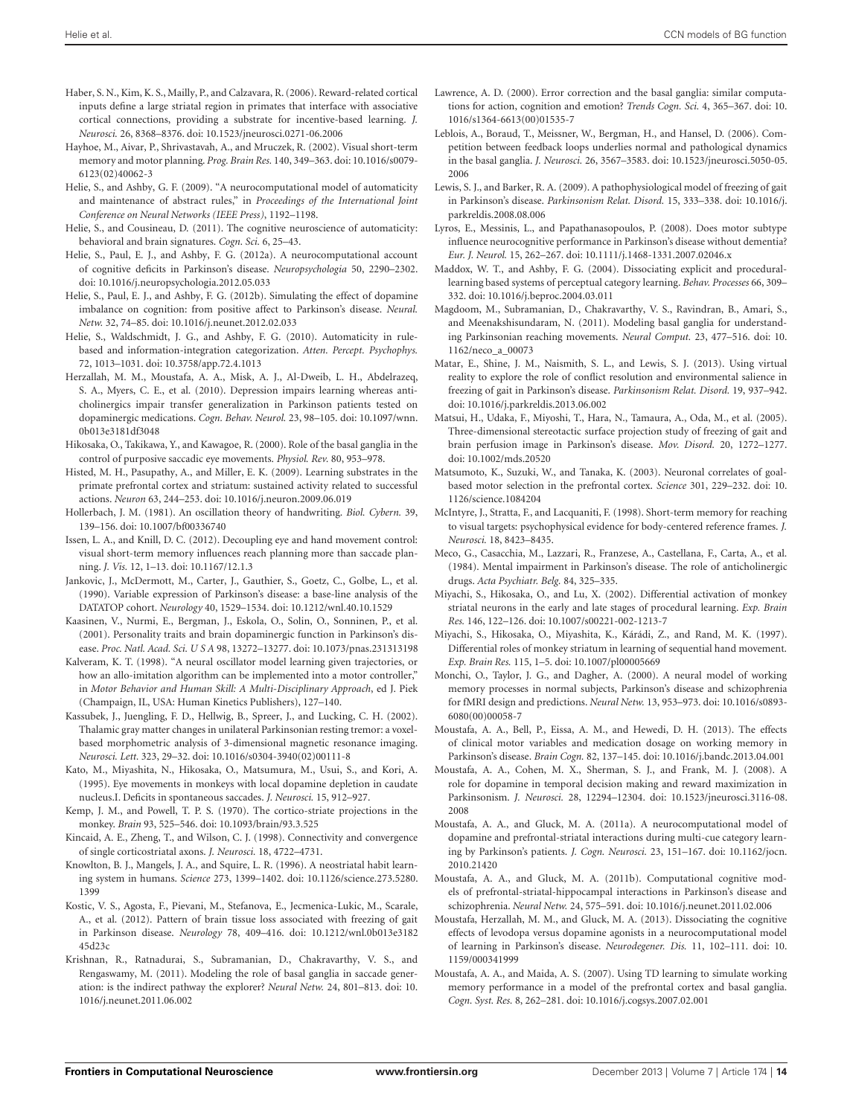- <span id="page-13-14"></span><span id="page-13-2"></span>Haber, S. N., Kim, K. S., Mailly, P., and Calzavara, R. (2006). Reward-related cortical inputs define a large striatal region in primates that interface with associative cortical connections, providing a substrate for incentive-based learning. *J. Neurosci.* 26, 8368–8376. doi: 10.1523/jneurosci.0271-06.2006
- <span id="page-13-35"></span>Hayhoe, M., Aivar, P., Shrivastavah, A., and Mruczek, R. (2002). Visual short-term memory and motor planning. *Prog. Brain Res.* 140, 349–363. doi: 10.1016/s0079- 6123(02)40062-3
- <span id="page-13-25"></span>Helie, S., and Ashby, G. F. (2009). "A neurocomputational model of automaticity and maintenance of abstract rules," in *Proceedings of the International Joint Conference on Neural Networks (IEEE Press)*, 1192–1198.
- <span id="page-13-24"></span>Helie, S., and Cousineau, D. (2011). The cognitive neuroscience of automaticity: behavioral and brain signatures. *Cogn. Sci.* 6, 25–43.
- <span id="page-13-6"></span>Helie, S., Paul, E. J., and Ashby, F. G. (2012a). A neurocomputational account of cognitive deficits in Parkinson's disease. *Neuropsychologia* 50, 2290–2302. doi: 10.1016/j.neuropsychologia.2012.05.033
- <span id="page-13-7"></span>Helie, S., Paul, E. J., and Ashby, F. G. (2012b). Simulating the effect of dopamine imbalance on cognition: from positive affect to Parkinson's disease. *Neural. Netw.* 32, 74–85. doi: 10.1016/j.neunet.2012.02.033
- <span id="page-13-23"></span>Helie, S., Waldschmidt, J. G., and Ashby, F. G. (2010). Automaticity in rulebased and information-integration categorization. *Atten. Percept. Psychophys.* 72, 1013–1031. doi: 10.3758/app.72.4.1013
- <span id="page-13-17"></span>Herzallah, M. M., Moustafa, A. A., Misk, A. J., Al-Dweib, L. H., Abdelrazeq, S. A., Myers, C. E., et al. (2010). Depression impairs learning whereas anticholinergics impair transfer generalization in Parkinson patients tested on dopaminergic medications. *Cogn. Behav. Neurol.* 23, 98–105. doi: 10.1097/wnn. 0b013e3181df3048
- <span id="page-13-26"></span>Hikosaka, O., Takikawa, Y., and Kawagoe, R. (2000). Role of the basal ganglia in the control of purposive saccadic eye movements. *Physiol. Rev.* 80, 953–978.
- <span id="page-13-20"></span>Histed, M. H., Pasupathy, A., and Miller, E. K. (2009). Learning substrates in the primate prefrontal cortex and striatum: sustained activity related to successful actions. *Neuron* 63, 244–253. doi: 10.1016/j.neuron.2009.06.019
- <span id="page-13-28"></span>Hollerbach, J. M. (1981). An oscillation theory of handwriting. *Biol. Cybern.* 39, 139–156. doi: 10.1007/bf00336740
- <span id="page-13-36"></span>Issen, L. A., and Knill, D. C. (2012). Decoupling eye and hand movement control: visual short-term memory influences reach planning more than saccade planning. *J. Vis.* 12, 1–13. doi: 10.1167/12.1.3
- <span id="page-13-32"></span>Jankovic, J., McDermott, M., Carter, J., Gauthier, S., Goetz, C., Golbe, L., et al. (1990). Variable expression of Parkinson's disease: a base-line analysis of the DATATOP cohort. *Neurology* 40, 1529–1534. doi: 10.1212/wnl.40.10.1529
- <span id="page-13-15"></span>Kaasinen, V., Nurmi, E., Bergman, J., Eskola, O., Solin, O., Sonninen, P., et al. (2001). Personality traits and brain dopaminergic function in Parkinson's disease. *Proc. Natl. Acad. Sci. U S A* 98, 13272–13277. doi: 10.1073/pnas.231313198
- <span id="page-13-29"></span>Kalveram, K. T. (1998). "A neural oscillator model learning given trajectories, or how an allo-imitation algorithm can be implemented into a motor controller," in *Motor Behavior and Human Skill: A Multi-Disciplinary Approach*, ed J. Piek (Champaign, IL, USA: Human Kinetics Publishers), 127–140.
- <span id="page-13-31"></span>Kassubek, J., Juengling, F. D., Hellwig, B., Spreer, J., and Lucking, C. H. (2002). Thalamic gray matter changes in unilateral Parkinsonian resting tremor: a voxelbased morphometric analysis of 3-dimensional magnetic resonance imaging. *Neurosci. Lett.* 323, 29–32. doi: 10.1016/s0304-3940(02)00111-8
- <span id="page-13-30"></span>Kato, M., Miyashita, N., Hikosaka, O., Matsumura, M., Usui, S., and Kori, A. (1995). Eye movements in monkeys with local dopamine depletion in caudate nucleus.I. Deficits in spontaneous saccades. *J. Neurosci.* 15, 912–927.
- <span id="page-13-1"></span>Kemp, J. M., and Powell, T. P. S. (1970). The cortico-striate projections in the monkey. *Brain* 93, 525–546. doi: 10.1093/brain/93.3.525
- <span id="page-13-0"></span>Kincaid, A. E., Zheng, T., and Wilson, C. J. (1998). Connectivity and convergence of single corticostriatal axons. *J. Neurosci.* 18, 4722–4731.
- <span id="page-13-18"></span>Knowlton, B. J., Mangels, J. A., and Squire, L. R. (1996). A neostriatal habit learning system in humans. *Science* 273, 1399–1402. doi: 10.1126/science.273.5280. 1399
- <span id="page-13-41"></span>Kostic, V. S., Agosta, F., Pievani, M., Stefanova, E., Jecmenica-Lukic, M., Scarale, A., et al. (2012). Pattern of brain tissue loss associated with freezing of gait in Parkinson disease. *Neurology* 78, 409–416. doi: 10.1212/wnl.0b013e3182 45d23c
- <span id="page-13-12"></span>Krishnan, R., Ratnadurai, S., Subramanian, D., Chakravarthy, V. S., and Rengaswamy, M. (2011). Modeling the role of basal ganglia in saccade generation: is the indirect pathway the explorer? *Neural Netw.* 24, 801–813. doi: 10. 1016/j.neunet.2011.06.002
- <span id="page-13-27"></span>Lawrence, A. D. (2000). Error correction and the basal ganglia: similar computations for action, cognition and emotion? *Trends Cogn. Sci.* 4, 365–367. doi: 10. 1016/s1364-6613(00)01535-7
- <span id="page-13-19"></span>Leblois, A., Boraud, T., Meissner, W., Bergman, H., and Hansel, D. (2006). Competition between feedback loops underlies normal and pathological dynamics in the basal ganglia. *J. Neurosci.* 26, 3567–3583. doi: 10.1523/jneurosci.5050-05. 2006
- <span id="page-13-40"></span>Lewis, S. J., and Barker, R. A. (2009). A pathophysiological model of freezing of gait in Parkinson's disease. *Parkinsonism Relat. Disord.* 15, 333–338. doi: 10.1016/j. parkreldis.2008.08.006
- <span id="page-13-34"></span>Lyros, E., Messinis, L., and Papathanasopoulos, P. (2008). Does motor subtype influence neurocognitive performance in Parkinson's disease without dementia? *Eur. J. Neurol.* 15, 262–267. doi: 10.1111/j.1468-1331.2007.02046.x
- <span id="page-13-5"></span>Maddox, W. T., and Ashby, F. G. (2004). Dissociating explicit and procedurallearning based systems of perceptual category learning. *Behav. Processes* 66, 309– 332. doi: 10.1016/j.beproc.2004.03.011
- <span id="page-13-11"></span>Magdoom, M., Subramanian, D., Chakravarthy, V. S., Ravindran, B., Amari, S., and Meenakshisundaram, N. (2011). Modeling basal ganglia for understanding Parkinsonian reaching movements. *Neural Comput.* 23, 477–516. doi: 10. 1162/neco\_a\_00073
- <span id="page-13-39"></span>Matar, E., Shine, J. M., Naismith, S. L., and Lewis, S. J. (2013). Using virtual reality to explore the role of conflict resolution and environmental salience in freezing of gait in Parkinson's disease. *Parkinsonism Relat. Disord.* 19, 937–942. doi: 10.1016/j.parkreldis.2013.06.002
- <span id="page-13-42"></span>Matsui, H., Udaka, F., Miyoshi, T., Hara, N., Tamaura, A., Oda, M., et al. (2005). Three-dimensional stereotactic surface projection study of freezing of gait and brain perfusion image in Parkinson's disease. *Mov. Disord.* 20, 1272–1277. doi: 10.1002/mds.20520
- <span id="page-13-38"></span>Matsumoto, K., Suzuki, W., and Tanaka, K. (2003). Neuronal correlates of goalbased motor selection in the prefrontal cortex. *Science* 301, 229–232. doi: 10. 1126/science.1084204
- <span id="page-13-37"></span>McIntyre, J., Stratta, F., and Lacquaniti, F. (1998). Short-term memory for reaching to visual targets: psychophysical evidence for body-centered reference frames. *J. Neurosci.* 18, 8423–8435.
- <span id="page-13-16"></span>Meco, G., Casacchia, M., Lazzari, R., Franzese, A., Castellana, F., Carta, A., et al. (1984). Mental impairment in Parkinson's disease. The role of anticholinergic drugs. *Acta Psychiatr. Belg.* 84, 325–335.
- <span id="page-13-22"></span>Miyachi, S., Hikosaka, O., and Lu, X. (2002). Differential activation of monkey striatal neurons in the early and late stages of procedural learning. *Exp. Brain Res.* 146, 122–126. doi: 10.1007/s00221-002-1213-7
- <span id="page-13-21"></span>Miyachi, S., Hikosaka, O., Miyashita, K., Kárádi, Z., and Rand, M. K. (1997). Differential roles of monkey striatum in learning of sequential hand movement. *Exp. Brain Res.* 115, 1–5. doi: 10.1007/pl00005669
- <span id="page-13-9"></span>Monchi, O., Taylor, J. G., and Dagher, A. (2000). A neural model of working memory processes in normal subjects, Parkinson's disease and schizophrenia for fMRI design and predictions. *Neural Netw.* 13, 953–973. doi: 10.1016/s0893- 6080(00)00058-7
- <span id="page-13-3"></span>Moustafa, A. A., Bell, P., Eissa, A. M., and Hewedi, D. H. (2013). The effects of clinical motor variables and medication dosage on working memory in Parkinson's disease. *Brain Cogn.* 82, 137–145. doi: 10.1016/j.bandc.2013.04.001
- <span id="page-13-4"></span>Moustafa, A. A., Cohen, M. X., Sherman, S. J., and Frank, M. J. (2008). A role for dopamine in temporal decision making and reward maximization in Parkinsonism. *J. Neurosci.* 28, 12294–12304. doi: 10.1523/jneurosci.3116-08. 2008
- <span id="page-13-8"></span>Moustafa, A. A., and Gluck, M. A. (2011a). A neurocomputational model of dopamine and prefrontal-striatal interactions during multi-cue category learning by Parkinson's patients. *J. Cogn. Neurosci.* 23, 151–167. doi: 10.1162/jocn. 2010.21420
- <span id="page-13-13"></span>Moustafa, A. A., and Gluck, M. A. (2011b). Computational cognitive models of prefrontal-striatal-hippocampal interactions in Parkinson's disease and schizophrenia. *Neural Netw.* 24, 575–591. doi: 10.1016/j.neunet.2011.02.006
- <span id="page-13-33"></span>Moustafa, Herzallah, M. M., and Gluck, M. A. (2013). Dissociating the cognitive effects of levodopa versus dopamine agonists in a neurocomputational model of learning in Parkinson's disease. *Neurodegener. Dis.* 11, 102–111. doi: 10. 1159/000341999
- <span id="page-13-10"></span>Moustafa, A. A., and Maida, A. S. (2007). Using TD learning to simulate working memory performance in a model of the prefrontal cortex and basal ganglia. *Cogn. Syst. Res.* 8, 262–281. doi: 10.1016/j.cogsys.2007.02.001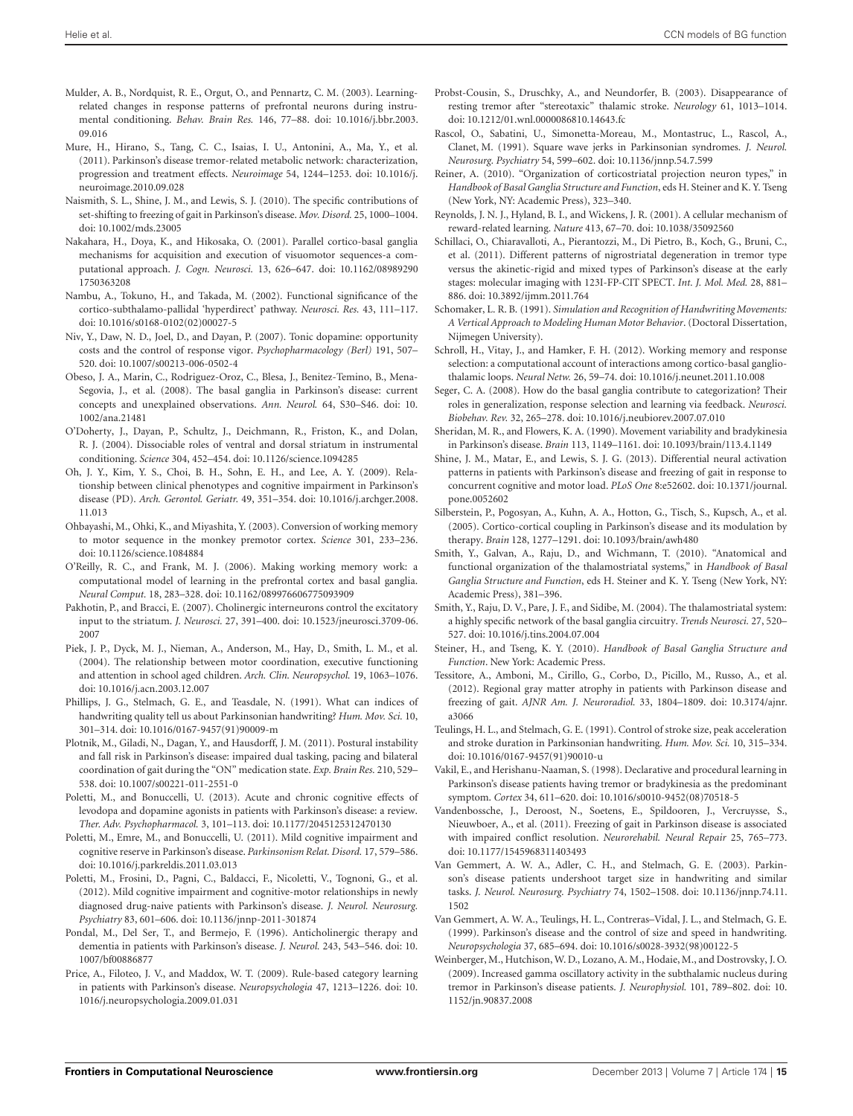- <span id="page-14-16"></span><span id="page-14-1"></span>Mulder, A. B., Nordquist, R. E., Orgut, O., and Pennartz, C. M. (2003). Learningrelated changes in response patterns of prefrontal neurons during instrumental conditioning. *Behav. Brain Res.* 146, 77–88. doi: 10.1016/j.bbr.2003. 09.016
- <span id="page-14-26"></span>Mure, H., Hirano, S., Tang, C. C., Isaias, I. U., Antonini, A., Ma, Y., et al. (2011). Parkinson's disease tremor-related metabolic network: characterization, progression and treatment effects. *Neuroimage* 54, 1244–1253. doi: 10.1016/j. neuroimage.2010.09.028
- <span id="page-14-36"></span>Naismith, S. L., Shine, J. M., and Lewis, S. J. (2010). The specific contributions of set-shifting to freezing of gait in Parkinson's disease. *Mov. Disord.* 25, 1000–1004. doi: 10.1002/mds.23005
- <span id="page-14-11"></span>Nakahara, H., Doya, K., and Hikosaka, O. (2001). Parallel cortico-basal ganglia mechanisms for acquisition and execution of visuomotor sequences-a computational approach. *J. Cogn. Neurosci.* 13, 626–647. doi: 10.1162/08989290 1750363208
- <span id="page-14-7"></span>Nambu, A., Tokuno, H., and Takada, M. (2002). Functional significance of the cortico-subthalamo-pallidal 'hyperdirect' pathway. *Neurosci. Res.* 43, 111–117. doi: 10.1016/s0168-0102(02)00027-5
- <span id="page-14-6"></span>Niv, Y., Daw, N. D., Joel, D., and Dayan, P. (2007). Tonic dopamine: opportunity costs and the control of response vigor. *Psychopharmacology (Berl)* 191, 507– 520. doi: 10.1007/s00213-006-0502-4
- <span id="page-14-33"></span>Obeso, J. A., Marin, C., Rodriguez-Oroz, C., Blesa, J., Benitez-Temino, B., Mena-Segovia, J., et al. (2008). The basal ganglia in Parkinson's disease: current concepts and unexplained observations. *Ann. Neurol.* 64, S30–S46. doi: 10. 1002/ana.21481
- <span id="page-14-14"></span>O'Doherty, J., Dayan, P., Schultz, J., Deichmann, R., Friston, K., and Dolan, R. J. (2004). Dissociable roles of ventral and dorsal striatum in instrumental conditioning. *Science* 304, 452–454. doi: 10.1126/science.1094285
- <span id="page-14-32"></span>Oh, J. Y., Kim, Y. S., Choi, B. H., Sohn, E. H., and Lee, A. Y. (2009). Relationship between clinical phenotypes and cognitive impairment in Parkinson's disease (PD). *Arch. Gerontol. Geriatr.* 49, 351–354. doi: 10.1016/j.archger.2008. 11.013
- <span id="page-14-34"></span>Ohbayashi, M., Ohki, K., and Miyashita, Y. (2003). Conversion of working memory to motor sequence in the monkey premotor cortex. *Science* 301, 233–236. doi: 10.1126/science.1084884
- <span id="page-14-41"></span>O'Reilly, R. C., and Frank, M. J. (2006). Making working memory work: a computational model of learning in the prefrontal cortex and basal ganglia. *Neural Comput.* 18, 283–328. doi: 10.1162/089976606775093909
- <span id="page-14-15"></span>Pakhotin, P., and Bracci, E. (2007). Cholinergic interneurons control the excitatory input to the striatum. *J. Neurosci.* 27, 391–400. doi: 10.1523/jneurosci.3709-06. 2007
- <span id="page-14-35"></span>Piek, J. P., Dyck, M. J., Nieman, A., Anderson, M., Hay, D., Smith, L. M., et al. (2004). The relationship between motor coordination, executive functioning and attention in school aged children. *Arch. Clin. Neuropsychol.* 19, 1063–1076. doi: 10.1016/j.acn.2003.12.007
- <span id="page-14-21"></span>Phillips, J. G., Stelmach, G. E., and Teasdale, N. (1991). What can indices of handwriting quality tell us about Parkinsonian handwriting? *Hum. Mov. Sci.* 10, 301–314. doi: 10.1016/0167-9457(91)90009-m
- <span id="page-14-37"></span>Plotnik, M., Giladi, N., Dagan, Y., and Hausdorff, J. M. (2011). Postural instability and fall risk in Parkinson's disease: impaired dual tasking, pacing and bilateral coordination of gait during the "ON" medication state. *Exp. Brain Res.* 210, 529– 538. doi: 10.1007/s00221-011-2551-0
- <span id="page-14-31"></span>Poletti, M., and Bonuccelli, U. (2013). Acute and chronic cognitive effects of levodopa and dopamine agonists in patients with Parkinson's disease: a review. *Ther. Adv. Psychopharmacol.* 3, 101–113. doi: 10.1177/2045125312470130
- <span id="page-14-29"></span>Poletti, M., Emre, M., and Bonuccelli, U. (2011). Mild cognitive impairment and cognitive reserve in Parkinson's disease. *Parkinsonism Relat. Disord.* 17, 579–586. doi: 10.1016/j.parkreldis.2011.03.013
- <span id="page-14-30"></span>Poletti, M., Frosini, D., Pagni, C., Baldacci, F., Nicoletti, V., Tognoni, G., et al. (2012). Mild cognitive impairment and cognitive-motor relationships in newly diagnosed drug-naive patients with Parkinson's disease. *J. Neurol. Neurosurg. Psychiatry* 83, 601–606. doi: 10.1136/jnnp-2011-301874
- <span id="page-14-13"></span>Pondal, M., Del Ser, T., and Bermejo, F. (1996). Anticholinergic therapy and dementia in patients with Parkinson's disease. *J. Neurol.* 243, 543–546. doi: 10. 1007/bf00886877
- <span id="page-14-8"></span>Price, A., Filoteo, J. V., and Maddox, W. T. (2009). Rule-based category learning in patients with Parkinson's disease. *Neuropsychologia* 47, 1213–1226. doi: 10. 1016/j.neuropsychologia.2009.01.031
- <span id="page-14-24"></span>Probst-Cousin, S., Druschky, A., and Neundorfer, B. (2003). Disappearance of resting tremor after "stereotaxic" thalamic stroke. *Neurology* 61, 1013–1014. doi: 10.1212/01.wnl.0000086810.14643.fc
- <span id="page-14-23"></span>Rascol, O., Sabatini, U., Simonetta-Moreau, M., Montastruc, L., Rascol, A., Clanet, M. (1991). Square wave jerks in Parkinsonian syndromes. *J. Neurol. Neurosurg. Psychiatry* 54, 599–602. doi: 10.1136/jnnp.54.7.599
- <span id="page-14-2"></span>Reiner, A. (2010). "Organization of corticostriatal projection neuron types," in *Handbook of Basal Ganglia Structure and Function*, eds H. Steiner and K. Y. Tseng (New York, NY: Academic Press), 323–340.
- <span id="page-14-5"></span>Reynolds, J. N. J., Hyland, B. I., and Wickens, J. R. (2001). A cellular mechanism of reward-related learning. *Nature* 413, 67–70. doi: 10.1038/35092560
- <span id="page-14-27"></span>Schillaci, O., Chiaravalloti, A., Pierantozzi, M., Di Pietro, B., Koch, G., Bruni, C., et al. (2011). Different patterns of nigrostriatal degeneration in tremor type versus the akinetic-rigid and mixed types of Parkinson's disease at the early stages: molecular imaging with 123I-FP-CIT SPECT. *Int. J. Mol. Med.* 28, 881– 886. doi: 10.3892/ijmm.2011.764
- <span id="page-14-22"></span>Schomaker, L. R. B. (1991). *Simulation and Recognition of Handwriting Movements: A Vertical Approach to Modeling Human Motor Behavior*. (Doctoral Dissertation, Nijmegen University).
- <span id="page-14-10"></span>Schroll, H., Vitay, J., and Hamker, F. H. (2012). Working memory and response selection: a computational account of interactions among cortico-basal gangliothalamic loops. *Neural Netw.* 26, 59–74. doi: 10.1016/j.neunet.2011.10.008
- <span id="page-14-9"></span>Seger, C. A. (2008). How do the basal ganglia contribute to categorization? Their roles in generalization, response selection and learning via feedback. *Neurosci. Biobehav. Rev.* 32, 265–278. doi: 10.1016/j.neubiorev.2007.07.010
- <span id="page-14-17"></span>Sheridan, M. R., and Flowers, K. A. (1990). Movement variability and bradykinesia in Parkinson's disease. *Brain* 113, 1149–1161. doi: 10.1093/brain/113.4.1149
- <span id="page-14-40"></span>Shine, J. M., Matar, E., and Lewis, S. J. G. (2013). Differential neural activation patterns in patients with Parkinson's disease and freezing of gait in response to concurrent cognitive and motor load. *PLoS One* 8:e52602. doi: 10.1371/journal. pone.0052602
- <span id="page-14-12"></span>Silberstein, P., Pogosyan, A., Kuhn, A. A., Hotton, G., Tisch, S., Kupsch, A., et al. (2005). Cortico-cortical coupling in Parkinson's disease and its modulation by therapy. *Brain* 128, 1277–1291. doi: 10.1093/brain/awh480
- <span id="page-14-3"></span>Smith, Y., Galvan, A., Raju, D., and Wichmann, T. (2010). "Anatomical and functional organization of the thalamostriatal systems," in *Handbook of Basal Ganglia Structure and Function*, eds H. Steiner and K. Y. Tseng (New York, NY: Academic Press), 381–396.
- <span id="page-14-4"></span>Smith, Y., Raju, D. V., Pare, J. F., and Sidibe, M. (2004). The thalamostriatal system: a highly specific network of the basal ganglia circuitry. *Trends Neurosci.* 27, 520– 527. doi: 10.1016/j.tins.2004.07.004
- <span id="page-14-0"></span>Steiner, H., and Tseng, K. Y. (2010). *Handbook of Basal Ganglia Structure and Function*. New York: Academic Press.
- <span id="page-14-39"></span>Tessitore, A., Amboni, M., Cirillo, G., Corbo, D., Picillo, M., Russo, A., et al. (2012). Regional gray matter atrophy in patients with Parkinson disease and freezing of gait. *AJNR Am. J. Neuroradiol.* 33, 1804–1809. doi: 10.3174/ajnr. a3066
- <span id="page-14-19"></span>Teulings, H. L., and Stelmach, G. E. (1991). Control of stroke size, peak acceleration and stroke duration in Parkinsonian handwriting. *Hum. Mov. Sci.* 10, 315–334. doi: 10.1016/0167-9457(91)90010-u
- <span id="page-14-28"></span>Vakil, E., and Herishanu-Naaman, S. (1998). Declarative and procedural learning in Parkinson's disease patients having tremor or bradykinesia as the predominant symptom. *Cortex* 34, 611–620. doi: 10.1016/s0010-9452(08)70518-5
- <span id="page-14-38"></span>Vandenbossche, J., Deroost, N., Soetens, E., Spildooren, J., Vercruysse, S., Nieuwboer, A., et al. (2011). Freezing of gait in Parkinson disease is associated with impaired conflict resolution. *Neurorehabil. Neural Repair* 25, 765–773. doi: 10.1177/1545968311403493
- <span id="page-14-18"></span>Van Gemmert, A. W. A., Adler, C. H., and Stelmach, G. E. (2003). Parkinson's disease patients undershoot target size in handwriting and similar tasks. *J. Neurol. Neurosurg. Psychiatry* 74, 1502–1508. doi: 10.1136/jnnp.74.11. 1502
- <span id="page-14-20"></span>Van Gemmert, A. W. A., Teulings, H. L., Contreras–Vidal, J. L., and Stelmach, G. E. (1999). Parkinson's disease and the control of size and speed in handwriting. *Neuropsychologia* 37, 685–694. doi: 10.1016/s0028-3932(98)00122-5
- <span id="page-14-25"></span>Weinberger, M., Hutchison, W. D., Lozano, A. M., Hodaie, M., and Dostrovsky, J. O. (2009). Increased gamma oscillatory activity in the subthalamic nucleus during tremor in Parkinson's disease patients. *J. Neurophysiol.* 101, 789–802. doi: 10. 1152/jn.90837.2008